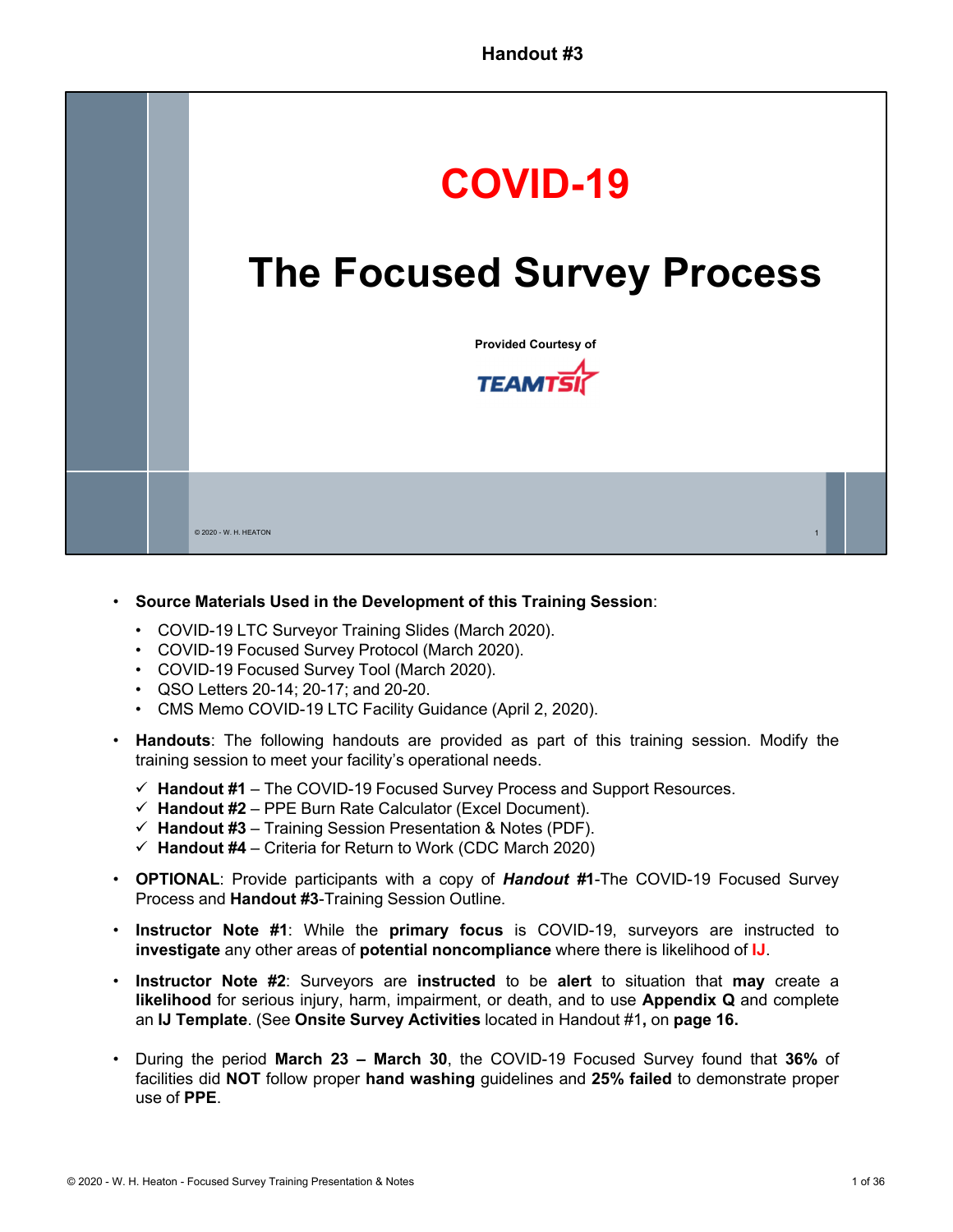

## • **Source Materials Used in the Development of this Training Session**:

- COVID-19 LTC Surveyor Training Slides (March 2020).
- COVID-19 Focused Survey Protocol (March 2020).
- COVID-19 Focused Survey Tool (March 2020).
- QSO Letters 20-14; 20-17; and 20-20.
- CMS Memo COVID-19 LTC Facility Guidance (April 2, 2020).
- **Handouts**: The following handouts are provided as part of this training session. Modify the training session to meet your facility's operational needs.
	- **Handout #1** The COVID-19 Focused Survey Process and Support Resources.
	- $\checkmark$  Handout #2 PPE Burn Rate Calculator (Excel Document).
	- $\checkmark$  Handout #3 Training Session Presentation & Notes (PDF).
	- $\checkmark$  Handout #4 Criteria for Return to Work (CDC March 2020)
- **OPTIONAL**: Provide participants with a copy of *Handout #***1**-The COVID-19 Focused Survey Process and **Handout #3**-Training Session Outline.
- **Instructor Note #1**: While the **primary focus** is COVID-19, surveyors are instructed to **investigate** any other areas of **potential noncompliance** where there is likelihood of **IJ**.
- **Instructor Note #2**: Surveyors are **instructed** to be **alert** to situation that **may** create a **likelihood** for serious injury, harm, impairment, or death, and to use **Appendix Q** and complete an **IJ Template**. (See **Onsite Survey Activities** located in Handout #1**,** on **page 16.**
- During the period **March 23 March 30**, the COVID-19 Focused Survey found that **36%** of facilities did **NOT** follow proper **hand washing** guidelines and **25% failed** to demonstrate proper use of **PPE**.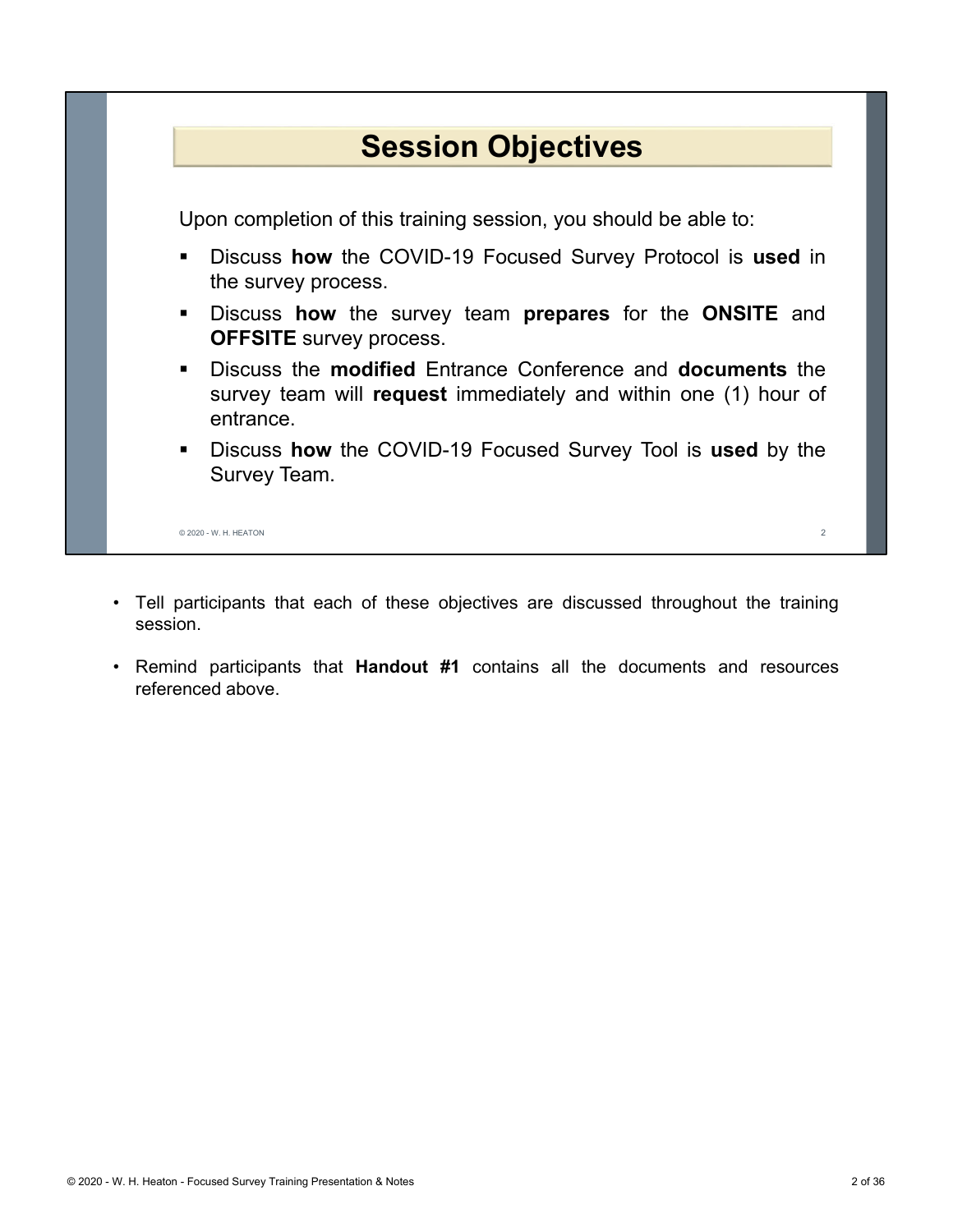## **Session Objectives**

Upon completion of this training session, you should be able to:

- Discuss **how** the COVID-19 Focused Survey Protocol is **used** in the survey process.
- Discuss **how** the survey team **prepares** for the **ONSITE** and **OFFSITE** survey process.
- Discuss the **modified** Entrance Conference and **documents** the survey team will **request** immediately and within one (1) hour of entrance.
- Discuss **how** the COVID-19 Focused Survey Tool is **used** by the Survey Team.

© 2020 - W. H. HEATON 2

- Tell participants that each of these objectives are discussed throughout the training session.
- Remind participants that **Handout #1** contains all the documents and resources referenced above.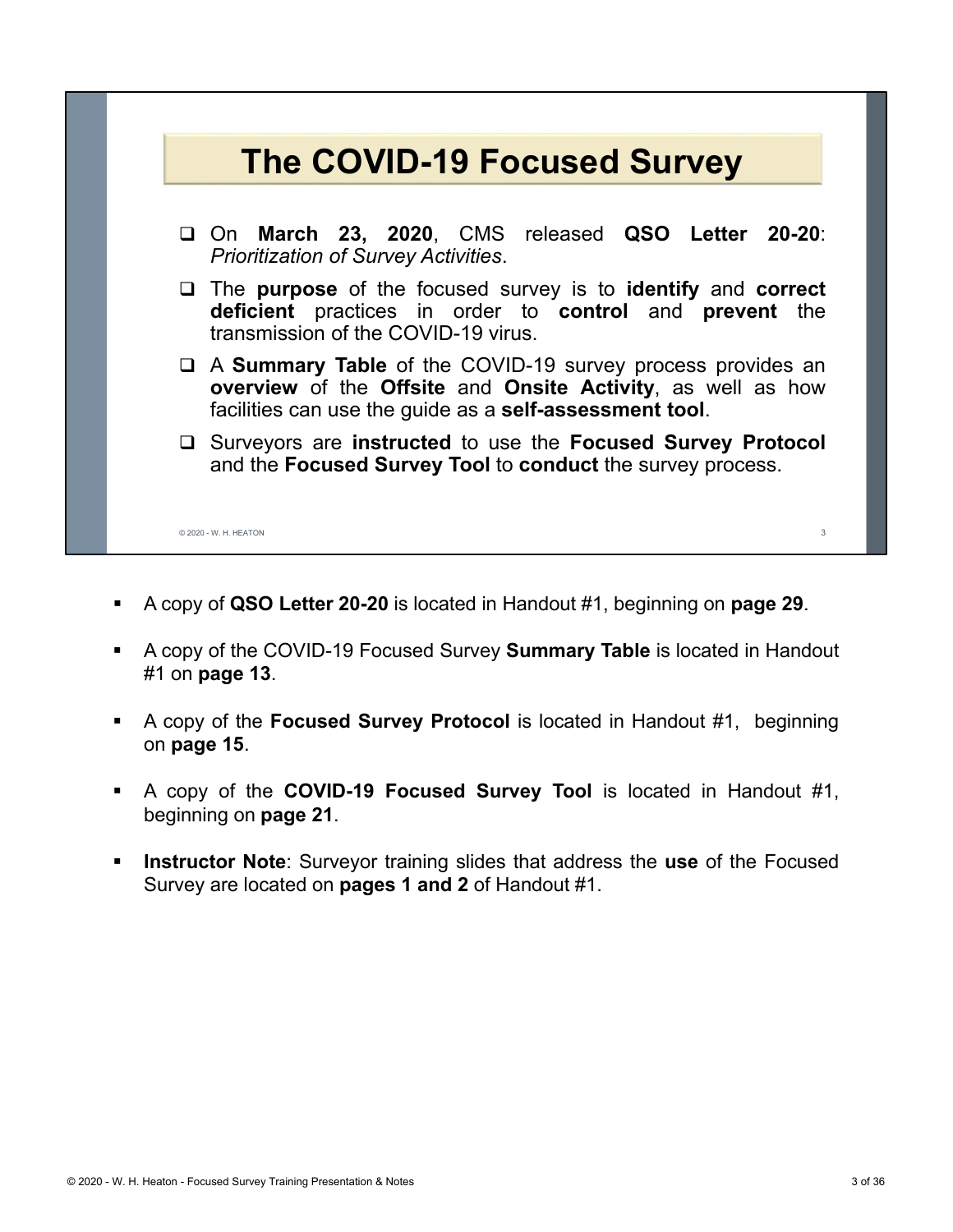

- A copy of **QSO Letter 20-20** is located in Handout #1, beginning on **page 29**.
- A copy of the COVID-19 Focused Survey **Summary Table** is located in Handout #1 on **page 13**.
- A copy of the **Focused Survey Protocol** is located in Handout #1, beginning on **page 15**.
- A copy of the **COVID-19 Focused Survey Tool** is located in Handout #1, beginning on **page 21**.
- **Instructor Note**: Surveyor training slides that address the **use** of the Focused Survey are located on **pages 1 and 2** of Handout #1.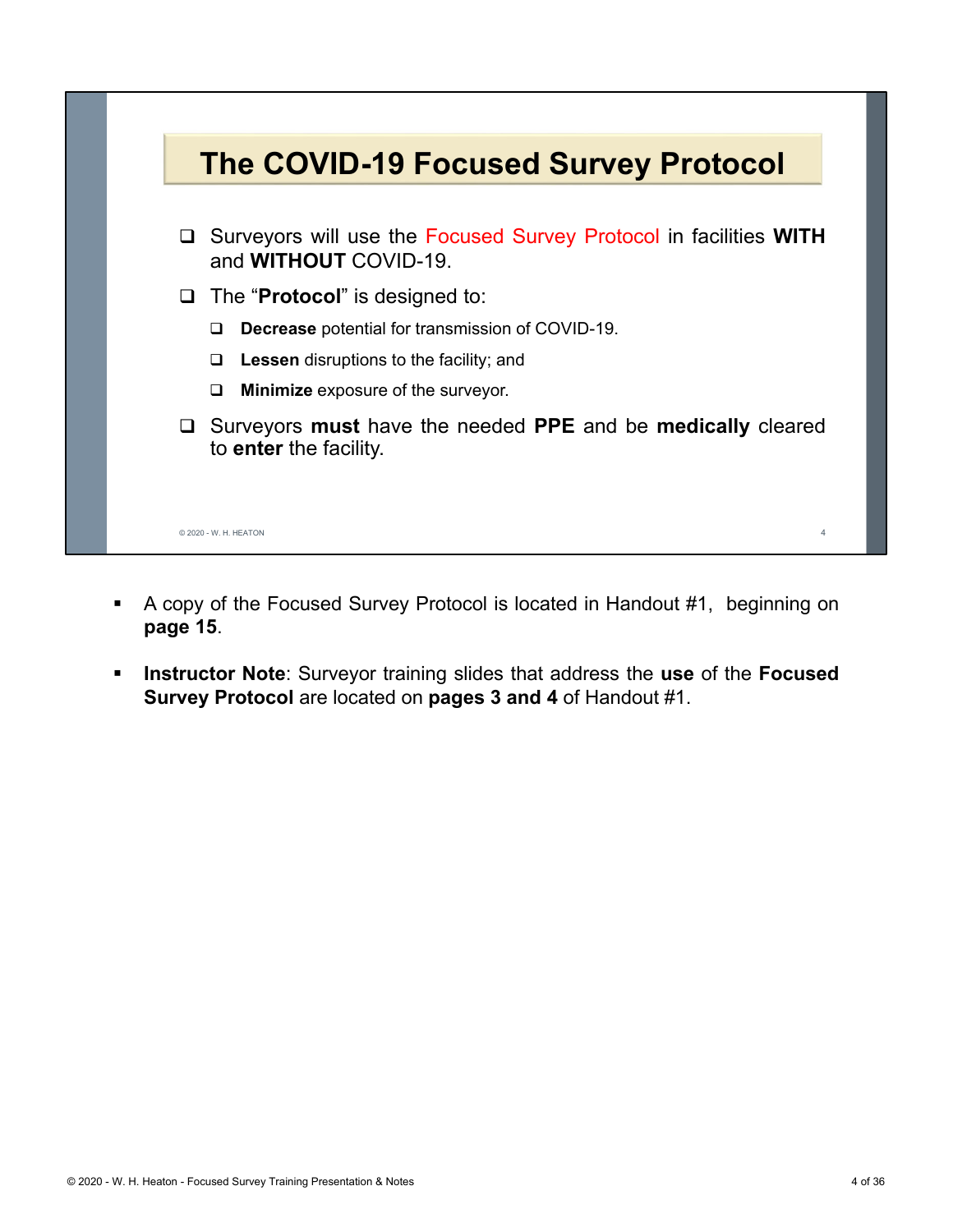

- A copy of the Focused Survey Protocol is located in Handout #1, beginning on **page 15**.
- **Instructor Note**: Surveyor training slides that address the **use** of the **Focused Survey Protocol** are located on **pages 3 and 4** of Handout #1.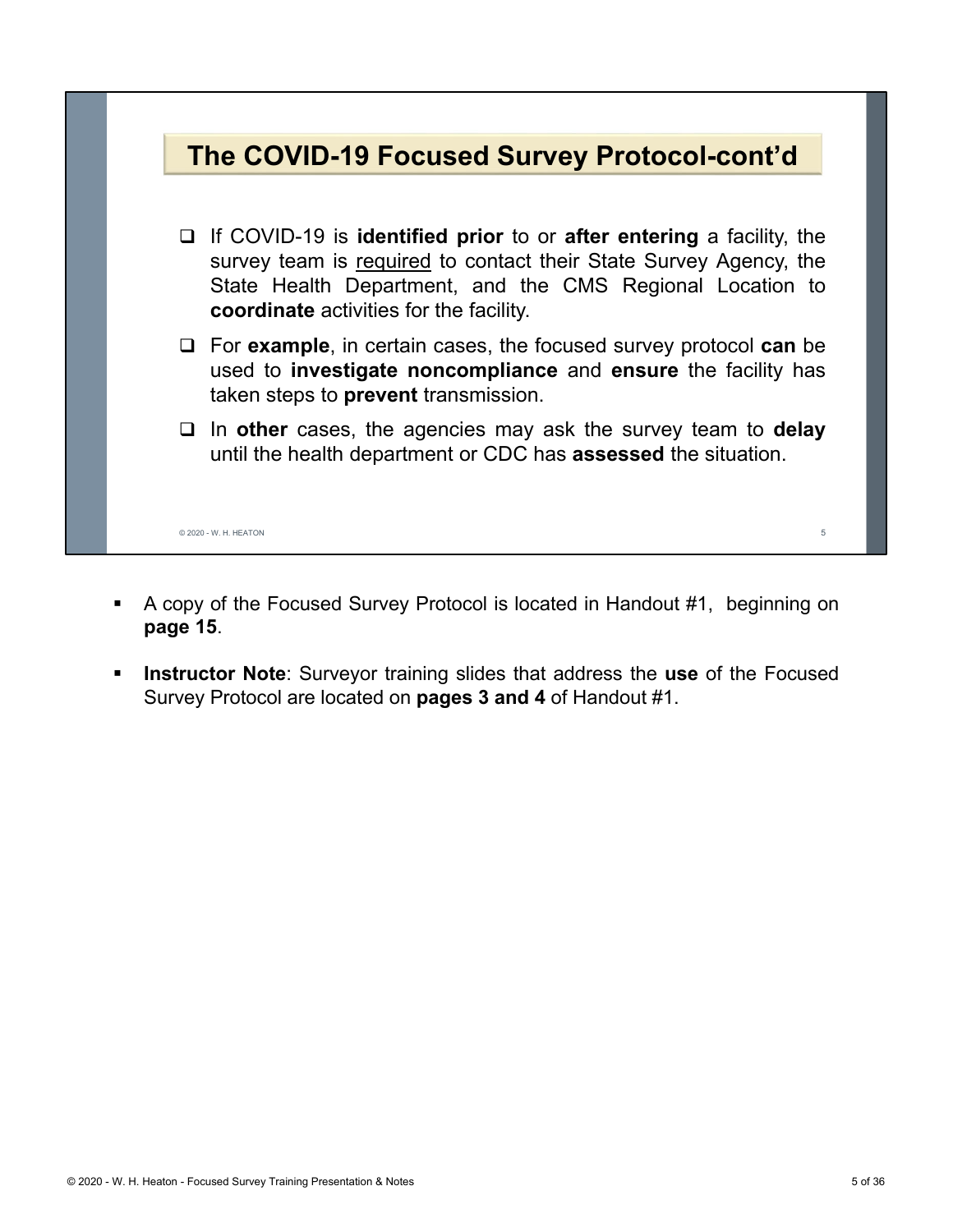

- A copy of the Focused Survey Protocol is located in Handout #1, beginning on **page 15**.
- **Instructor Note**: Surveyor training slides that address the **use** of the Focused Survey Protocol are located on **pages 3 and 4** of Handout #1.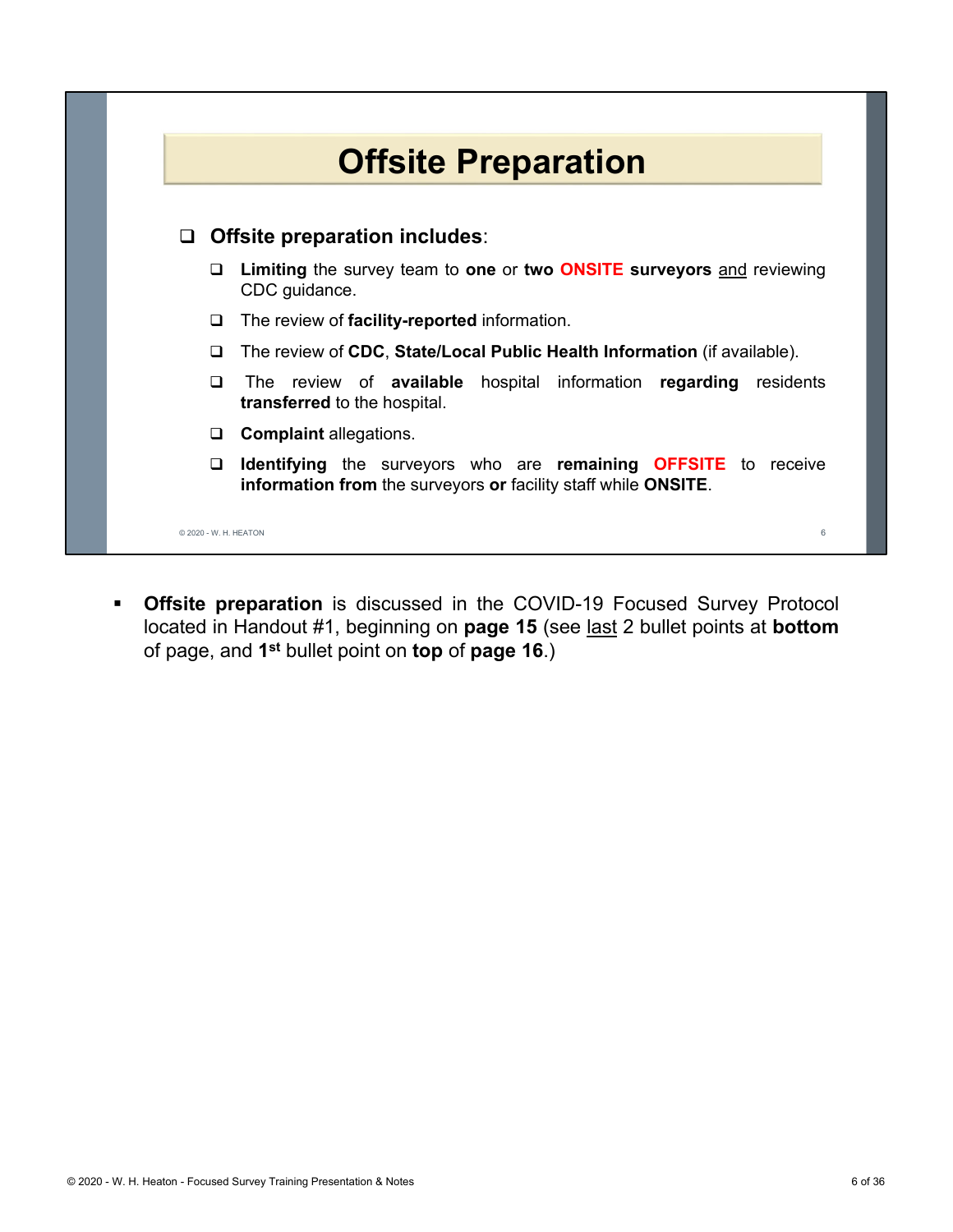

 **Offsite preparation** is discussed in the COVID-19 Focused Survey Protocol located in Handout #1, beginning on **page 15** (see last 2 bullet points at **bottom** of page, and **1st** bullet point on **top** of **page 16**.)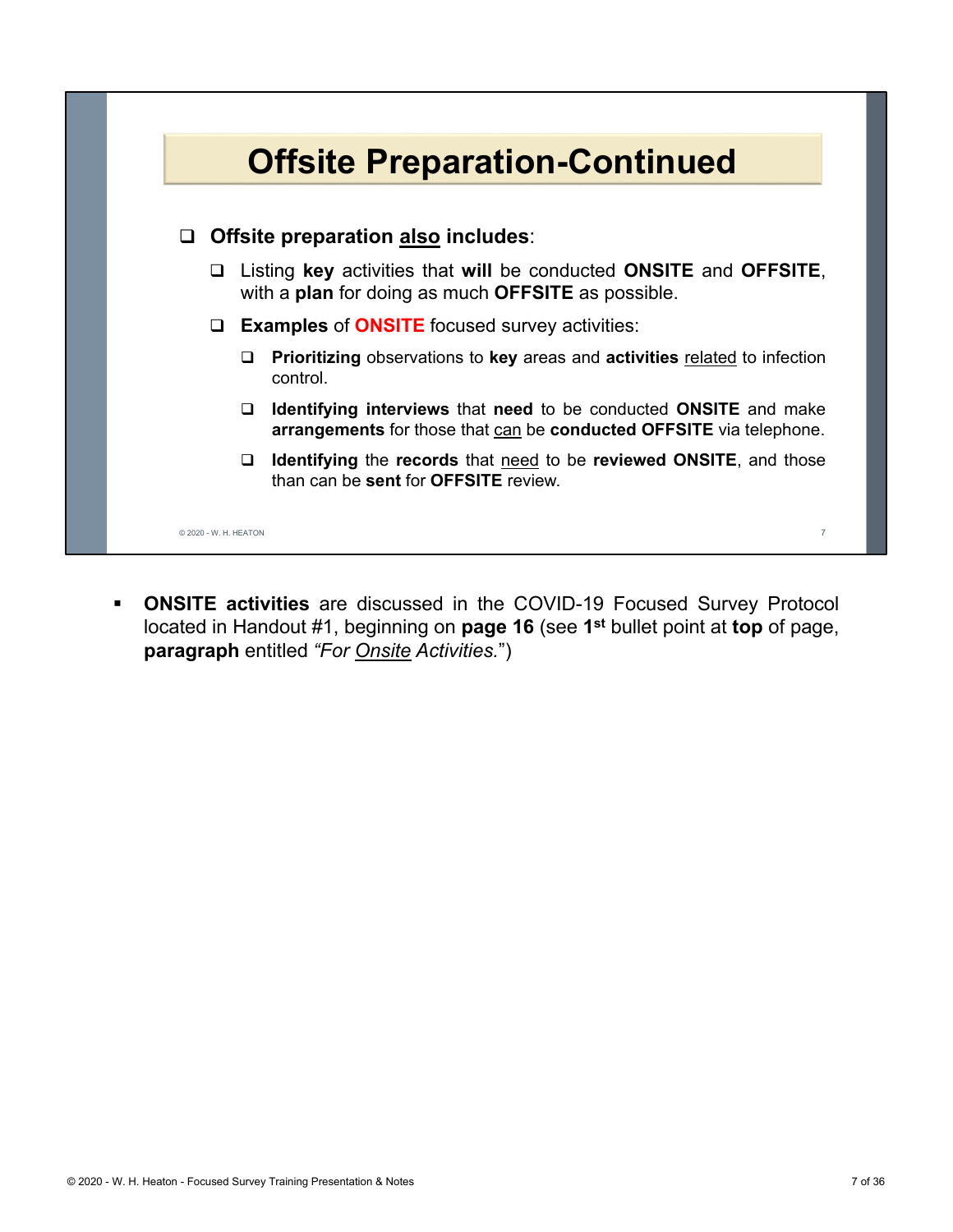

 **ONSITE activities** are discussed in the COVID-19 Focused Survey Protocol located in Handout #1, beginning on **page 16** (see **1st** bullet point at **top** of page, **paragraph** entitled *"For Onsite Activities.*")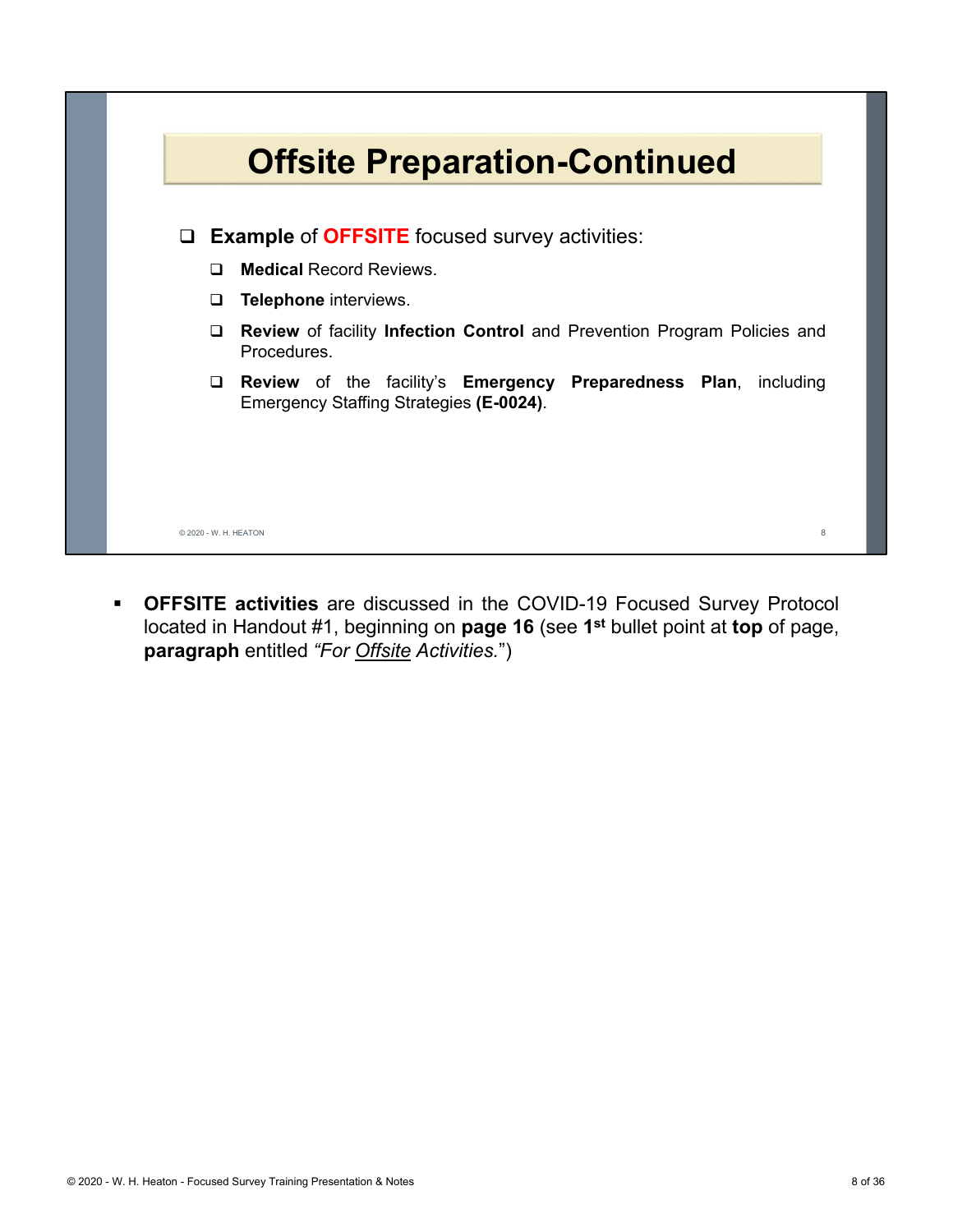

 **OFFSITE activities** are discussed in the COVID-19 Focused Survey Protocol located in Handout #1, beginning on **page 16** (see **1st** bullet point at **top** of page, **paragraph** entitled *"For Offsite Activities.*")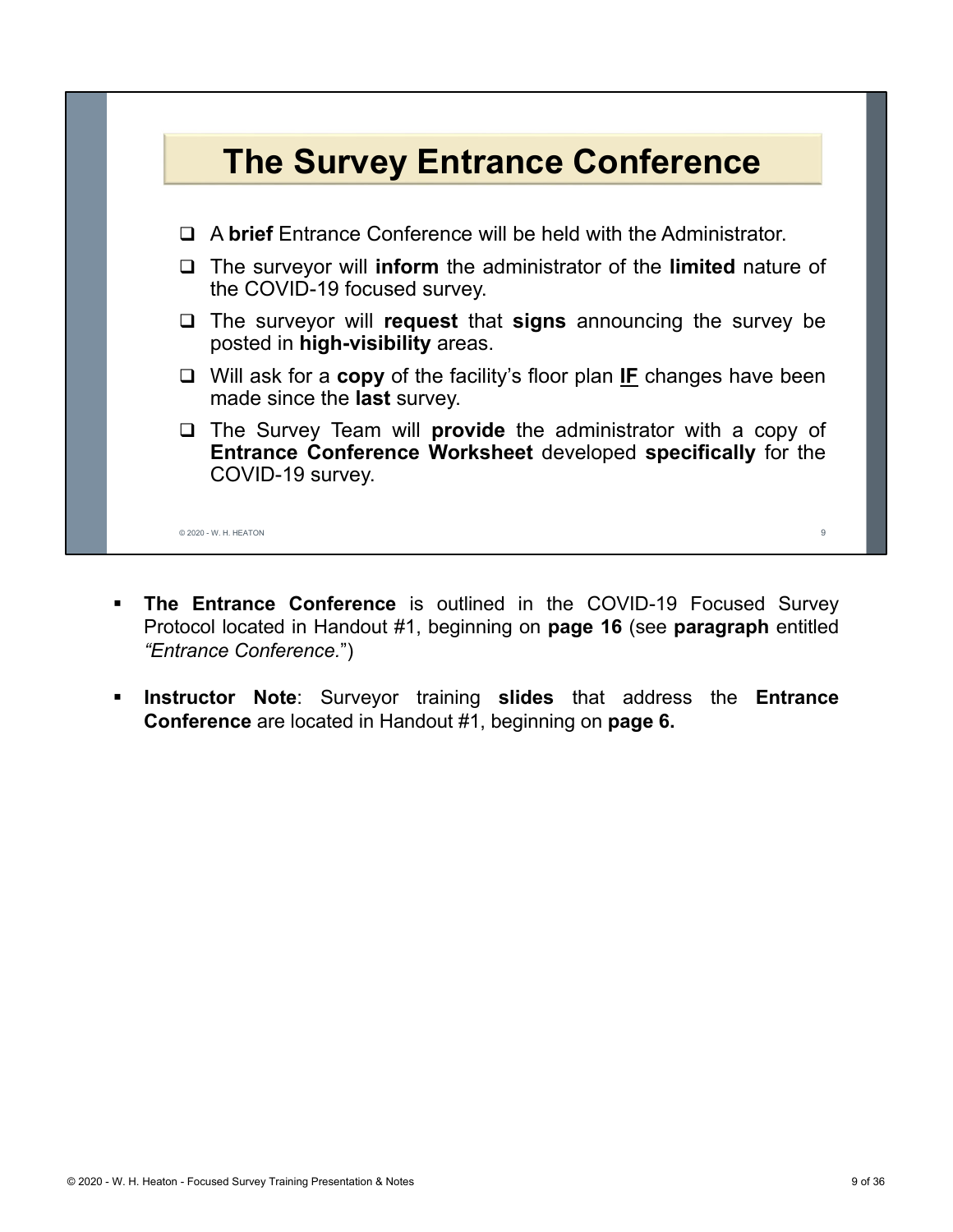

- **The Entrance Conference** is outlined in the COVID-19 Focused Survey Protocol located in Handout #1, beginning on **page 16** (see **paragraph** entitled *"Entrance Conference.*")
- **Instructor Note**: Surveyor training **slides** that address the **Entrance Conference** are located in Handout #1, beginning on **page 6.**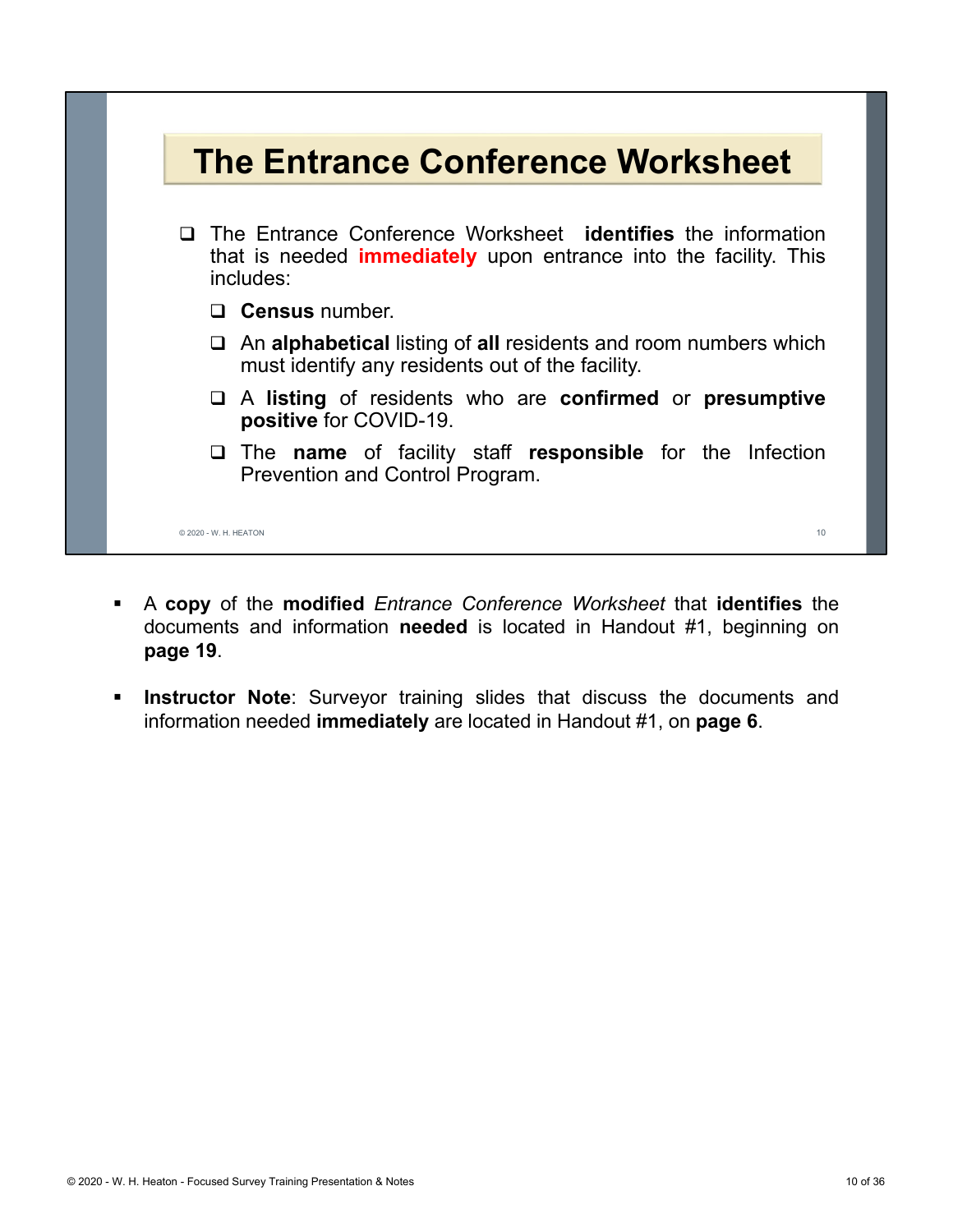

- A **copy** of the **modified** *Entrance Conference Worksheet* that **identifies** the documents and information **needed** is located in Handout #1, beginning on **page 19**.
- **Instructor Note**: Surveyor training slides that discuss the documents and information needed **immediately** are located in Handout #1, on **page 6**.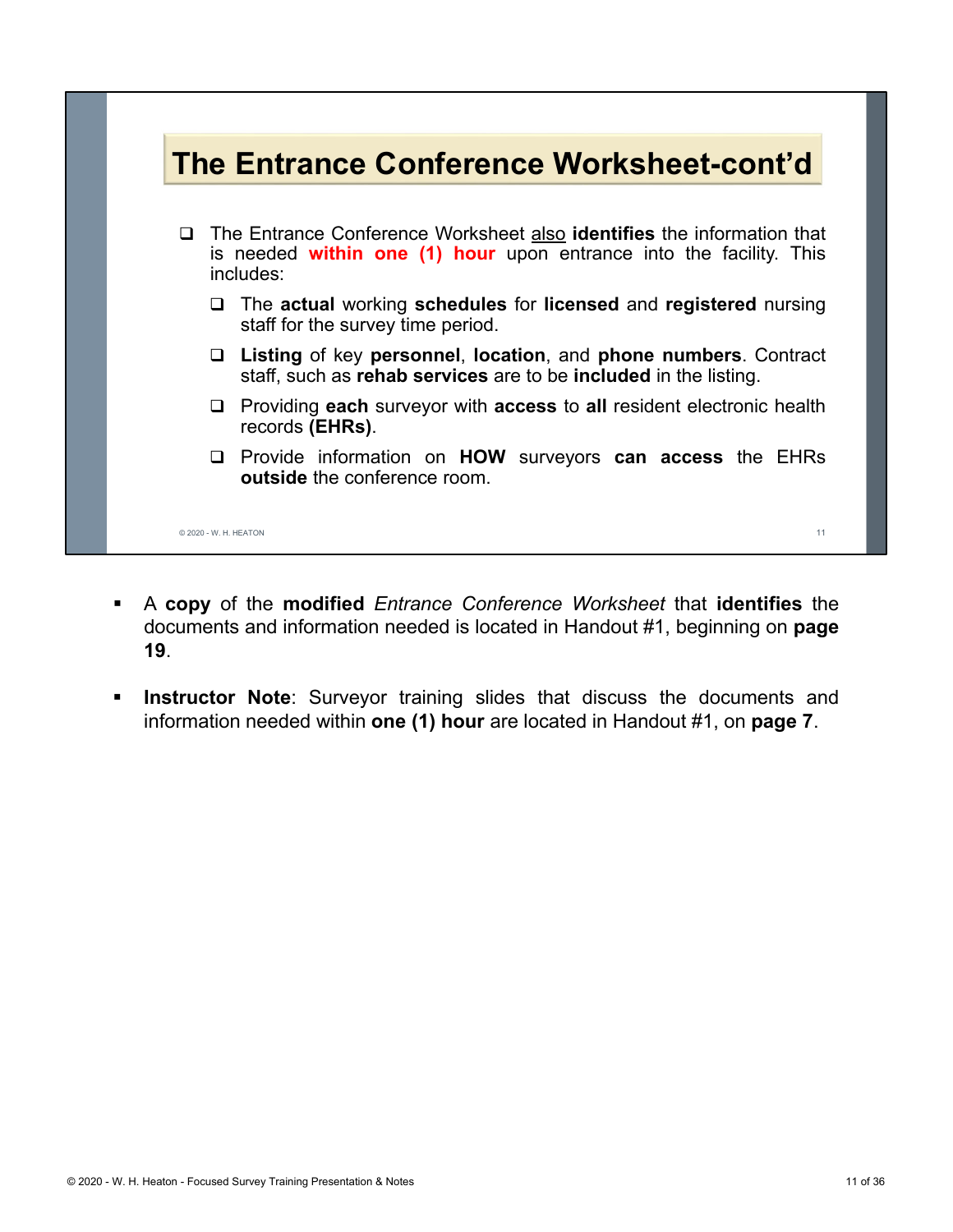## **The Entrance Conference Worksheet-cont'd**

- The Entrance Conference Worksheet also **identifies** the information that is needed **within one (1) hour** upon entrance into the facility. This includes:
	- The **actual** working **schedules** for **licensed** and **registered** nursing staff for the survey time period.
	- **Listing** of key **personnel**, **location**, and **phone numbers**. Contract staff, such as **rehab services** are to be **included** in the listing.
	- Providing **each** surveyor with **access** to **all** resident electronic health records **(EHRs)**.
	- Provide information on **HOW** surveyors **can access** the EHRs **outside** the conference room.

© 2020 - W. H. HEATON 11

- A **copy** of the **modified** *Entrance Conference Worksheet* that **identifies** the documents and information needed is located in Handout #1, beginning on **page 19**.
- **Instructor Note**: Surveyor training slides that discuss the documents and information needed within **one (1) hour** are located in Handout #1, on **page 7**.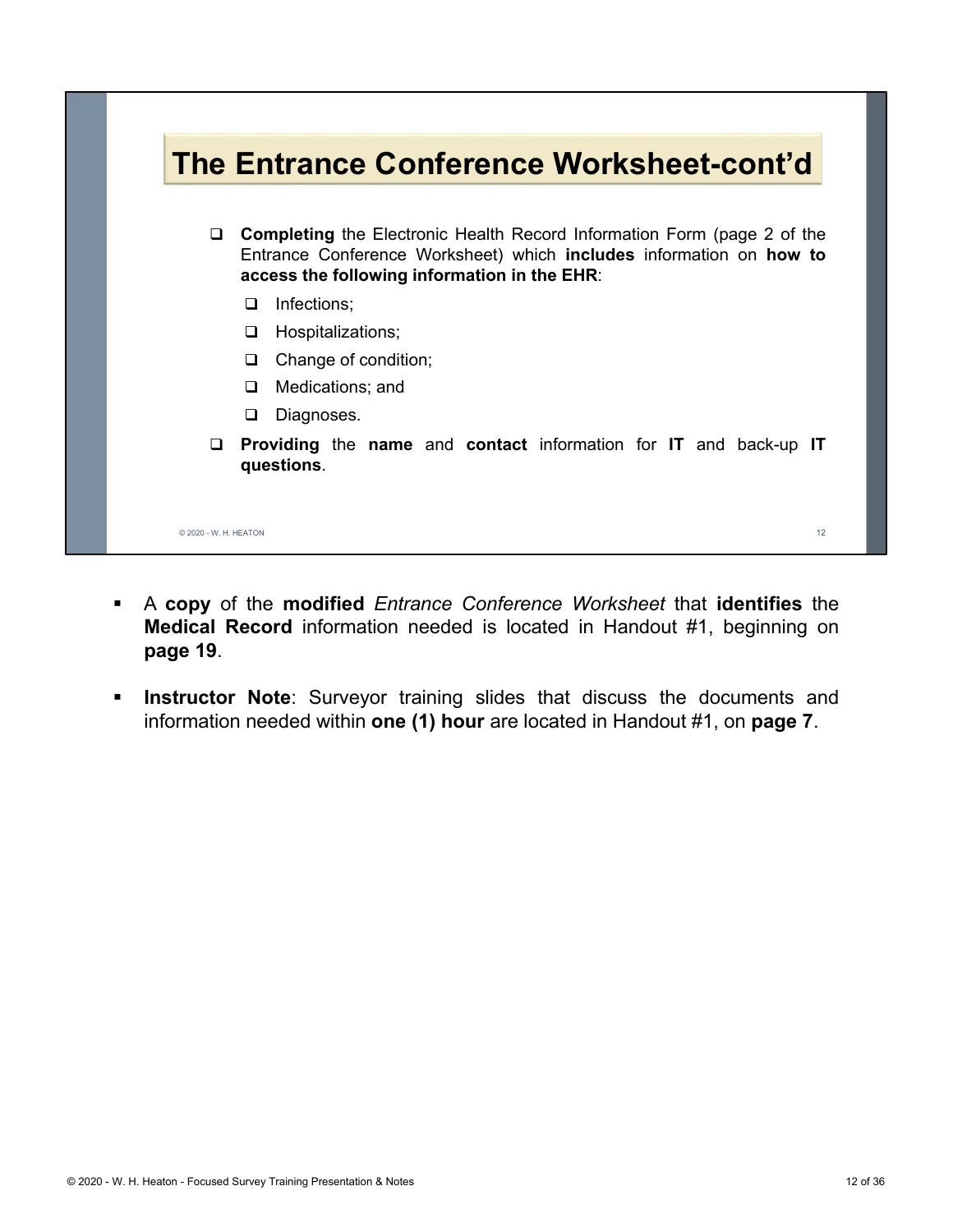

- A **copy** of the **modified** *Entrance Conference Worksheet* that **identifies** the **Medical Record** information needed is located in Handout #1, beginning on **page 19**.
- **Instructor Note**: Surveyor training slides that discuss the documents and information needed within **one (1) hour** are located in Handout #1, on **page 7**.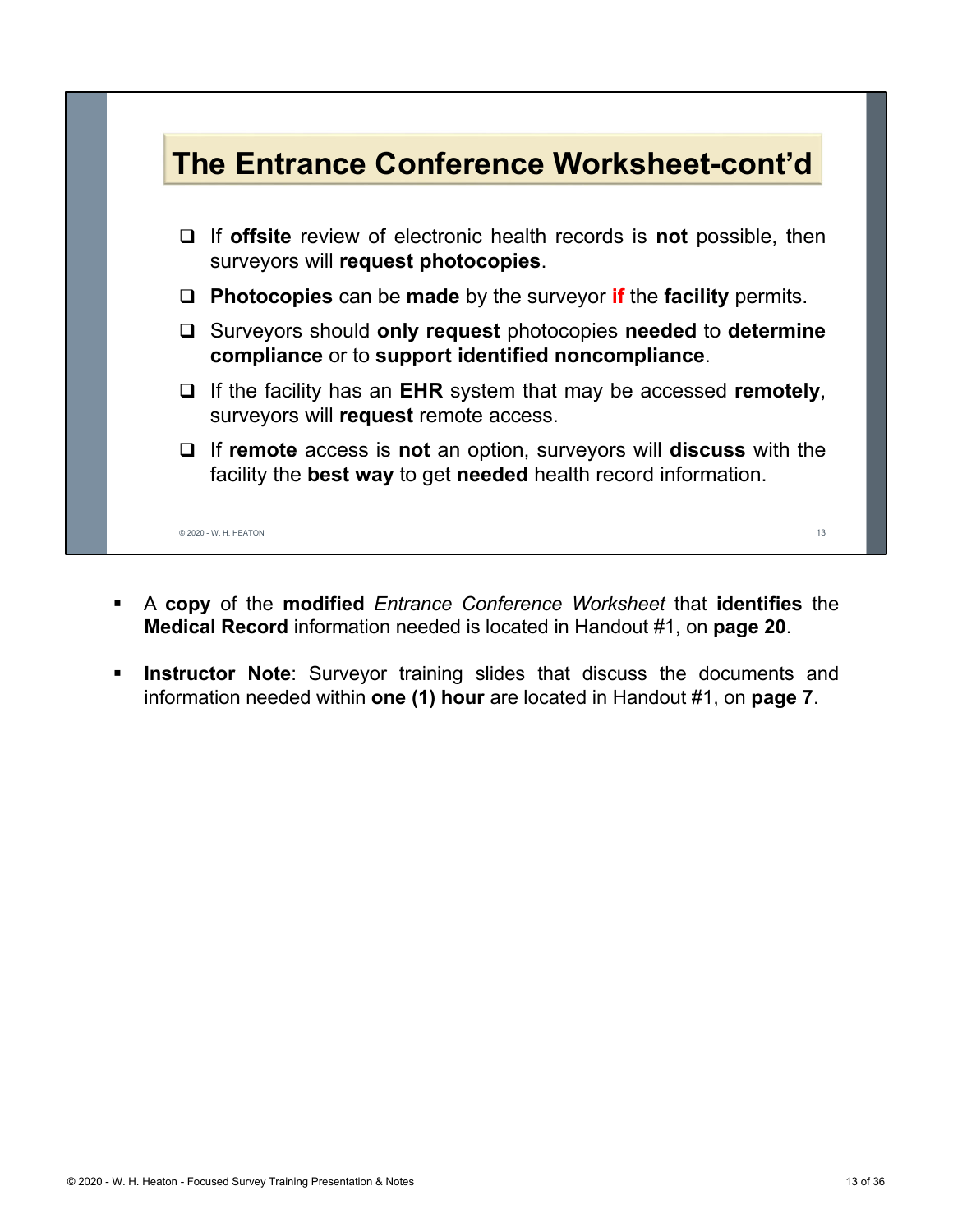

- A **copy** of the **modified** *Entrance Conference Worksheet* that **identifies** the **Medical Record** information needed is located in Handout #1, on **page 20**.
- **Instructor Note**: Surveyor training slides that discuss the documents and information needed within **one (1) hour** are located in Handout #1, on **page 7**.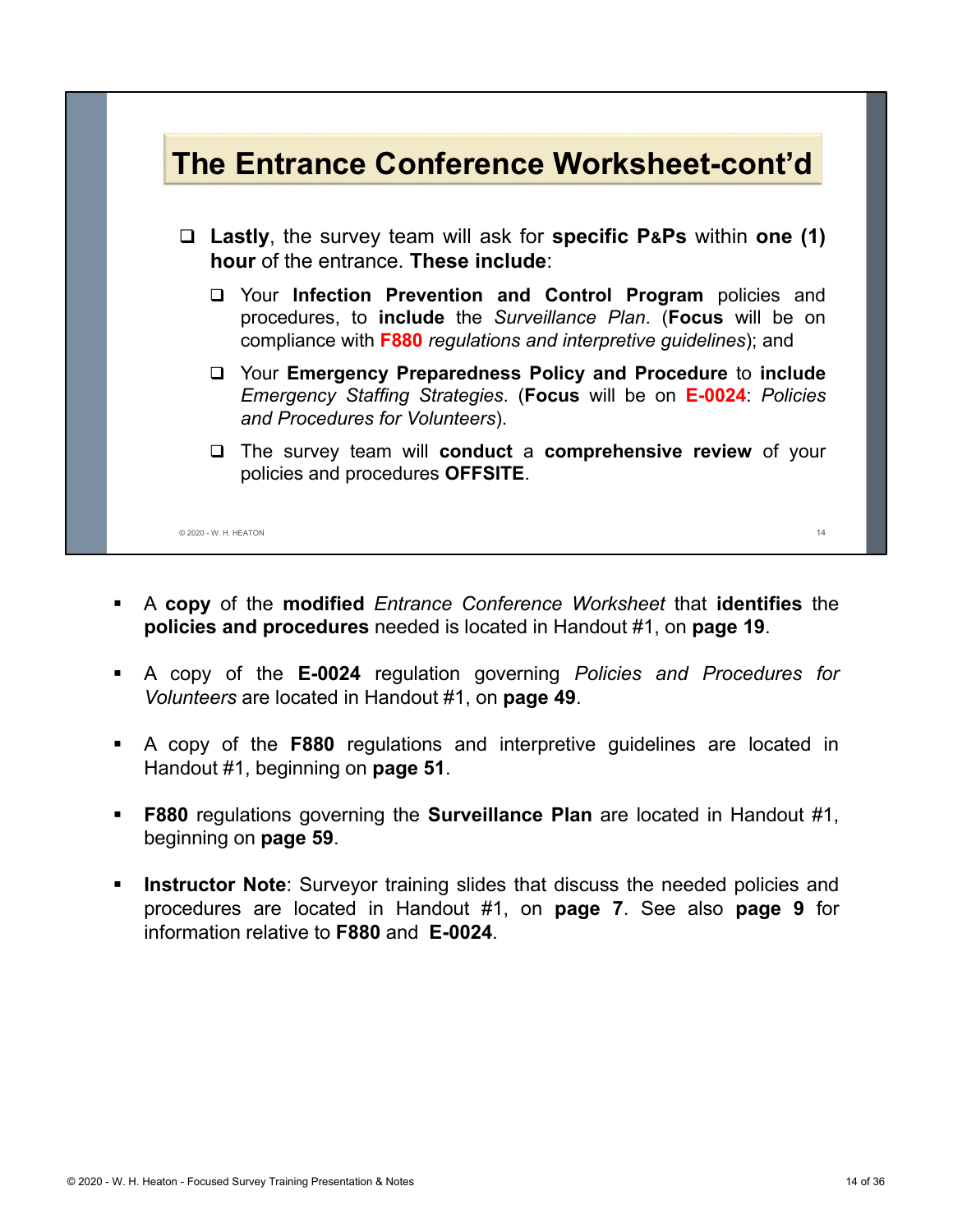

- A **copy** of the **modified** *Entrance Conference Worksheet* that **identifies** the **policies and procedures** needed is located in Handout #1, on **page 19**.
- A copy of the **E-0024** regulation governing *Policies and Procedures for Volunteers* are located in Handout #1, on **page 49**.
- A copy of the **F880** regulations and interpretive guidelines are located in Handout #1, beginning on **page 51**.
- **F880** regulations governing the **Surveillance Plan** are located in Handout #1, beginning on **page 59**.
- **Instructor Note**: Surveyor training slides that discuss the needed policies and procedures are located in Handout #1, on **page 7**. See also **page 9** for information relative to **F880** and **E-0024**.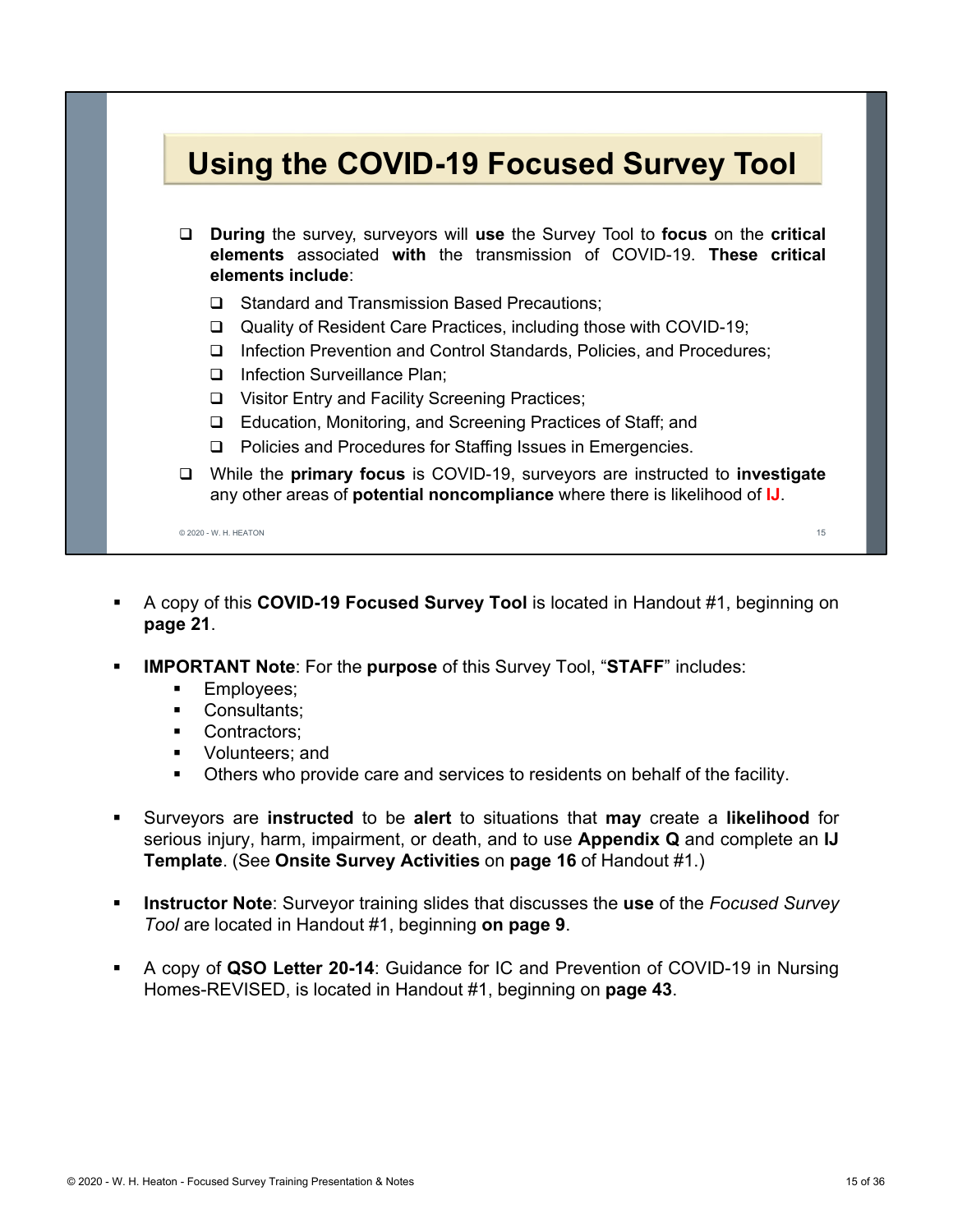## **Using the COVID-19 Focused Survey Tool**

- **During** the survey, surveyors will **use** the Survey Tool to **focus** on the **critical elements** associated **with** the transmission of COVID-19. **These critical elements include**:
	- **□** Standard and Transmission Based Precautions:
	- Quality of Resident Care Practices, including those with COVID-19;
	- □ Infection Prevention and Control Standards, Policies, and Procedures;
	- D Infection Surveillance Plan:
	- □ Visitor Entry and Facility Screening Practices;
	- □ Education, Monitoring, and Screening Practices of Staff; and
	- □ Policies and Procedures for Staffing Issues in Emergencies.
- While the **primary focus** is COVID-19, surveyors are instructed to **investigate** any other areas of **potential noncompliance** where there is likelihood of **IJ**.

© 2020 - W. H. HEATON 15

- A copy of this **COVID-19 Focused Survey Tool** is located in Handout #1, beginning on **page 21**.
- **IMPORTANT Note**: For the **purpose** of this Survey Tool, "**STAFF**" includes:
	- **Employees**;
	- **Consultants:**
	- **Contractors**
	- **•** Volunteers: and
	- Others who provide care and services to residents on behalf of the facility.
- Surveyors are **instructed** to be **alert** to situations that **may** create a **likelihood** for serious injury, harm, impairment, or death, and to use **Appendix Q** and complete an **IJ Template**. (See **Onsite Survey Activities** on **page 16** of Handout #1.)
- **Instructor Note**: Surveyor training slides that discusses the **use** of the *Focused Survey Tool* are located in Handout #1, beginning **on page 9**.
- A copy of **QSO Letter 20-14**: Guidance for IC and Prevention of COVID-19 in Nursing Homes-REVISED, is located in Handout #1, beginning on **page 43**.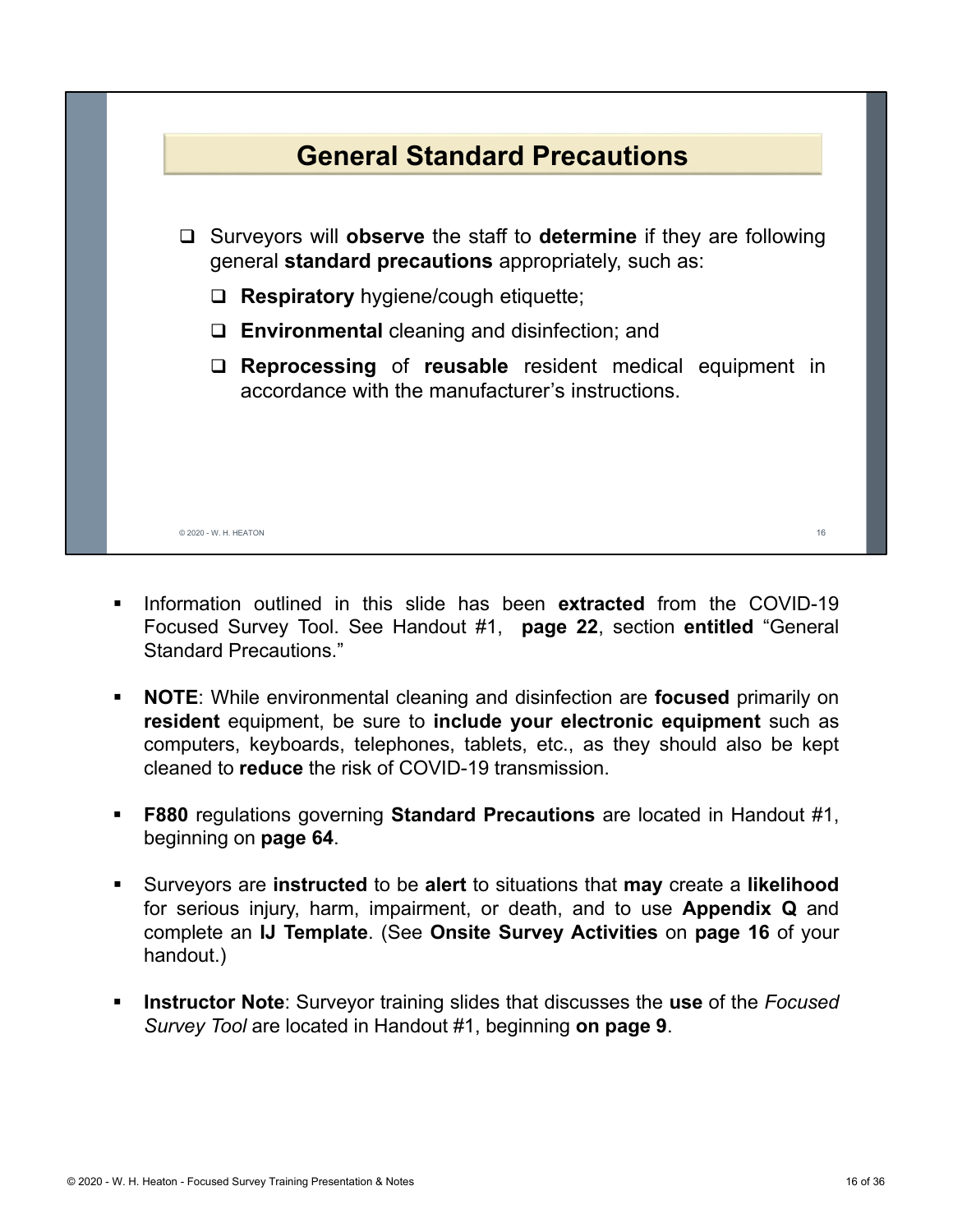

- Information outlined in this slide has been **extracted** from the COVID-19 Focused Survey Tool. See Handout #1, **page 22**, section **entitled** "General Standard Precautions."
- **NOTE**: While environmental cleaning and disinfection are **focused** primarily on **resident** equipment, be sure to **include your electronic equipment** such as computers, keyboards, telephones, tablets, etc., as they should also be kept cleaned to **reduce** the risk of COVID-19 transmission.
- **F880** regulations governing **Standard Precautions** are located in Handout #1, beginning on **page 64**.
- Surveyors are **instructed** to be **alert** to situations that **may** create a **likelihood** for serious injury, harm, impairment, or death, and to use **Appendix Q** and complete an **IJ Template**. (See **Onsite Survey Activities** on **page 16** of your handout.)
- **Instructor Note**: Surveyor training slides that discusses the **use** of the *Focused Survey Tool* are located in Handout #1, beginning **on page 9**.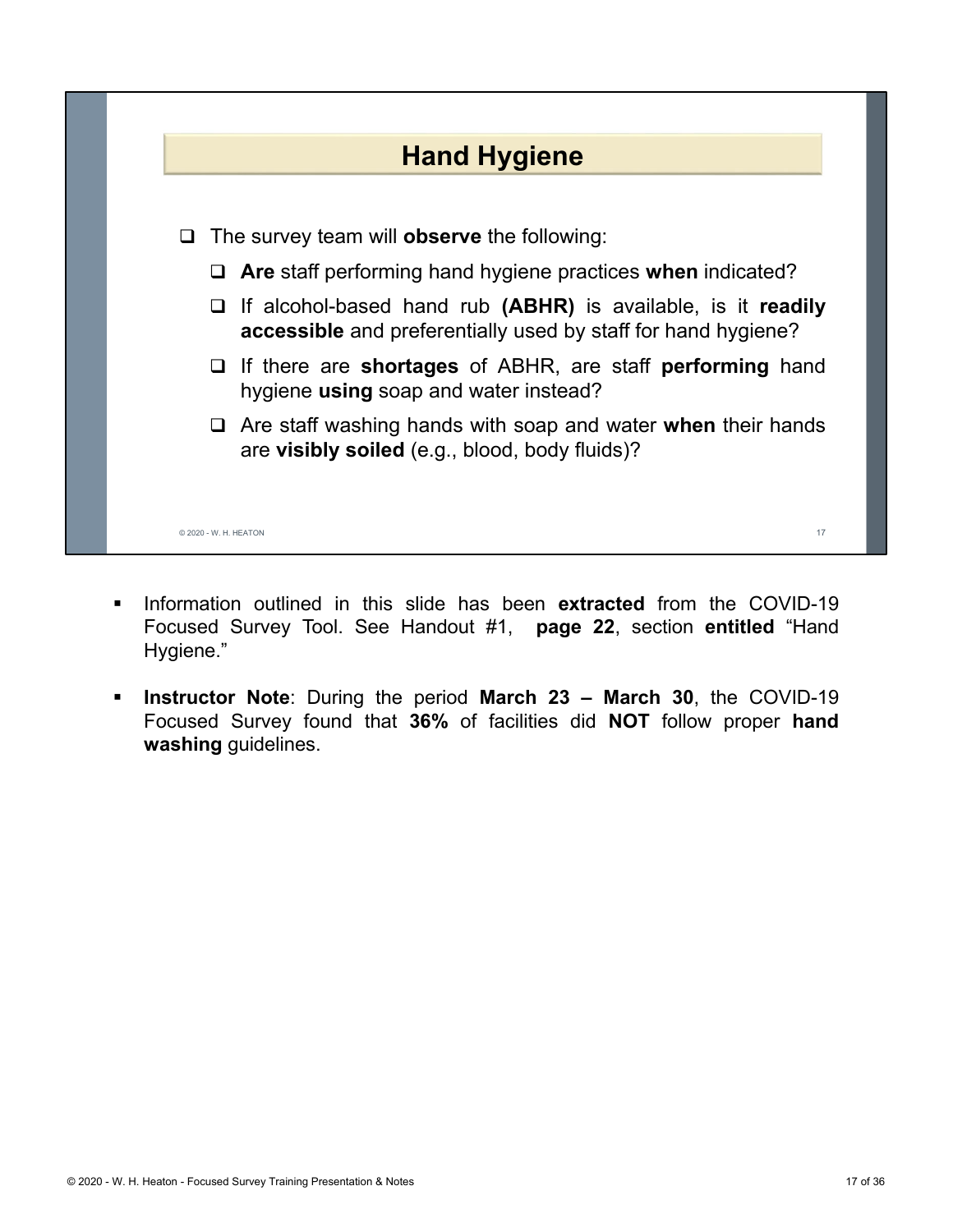

- **Information outlined in this slide has been extracted from the COVID-19** Focused Survey Tool. See Handout #1, **page 22**, section **entitled** "Hand Hygiene."
- **Instructor Note**: During the period **March 23 March 30**, the COVID-19 Focused Survey found that **36%** of facilities did **NOT** follow proper **hand washing** guidelines.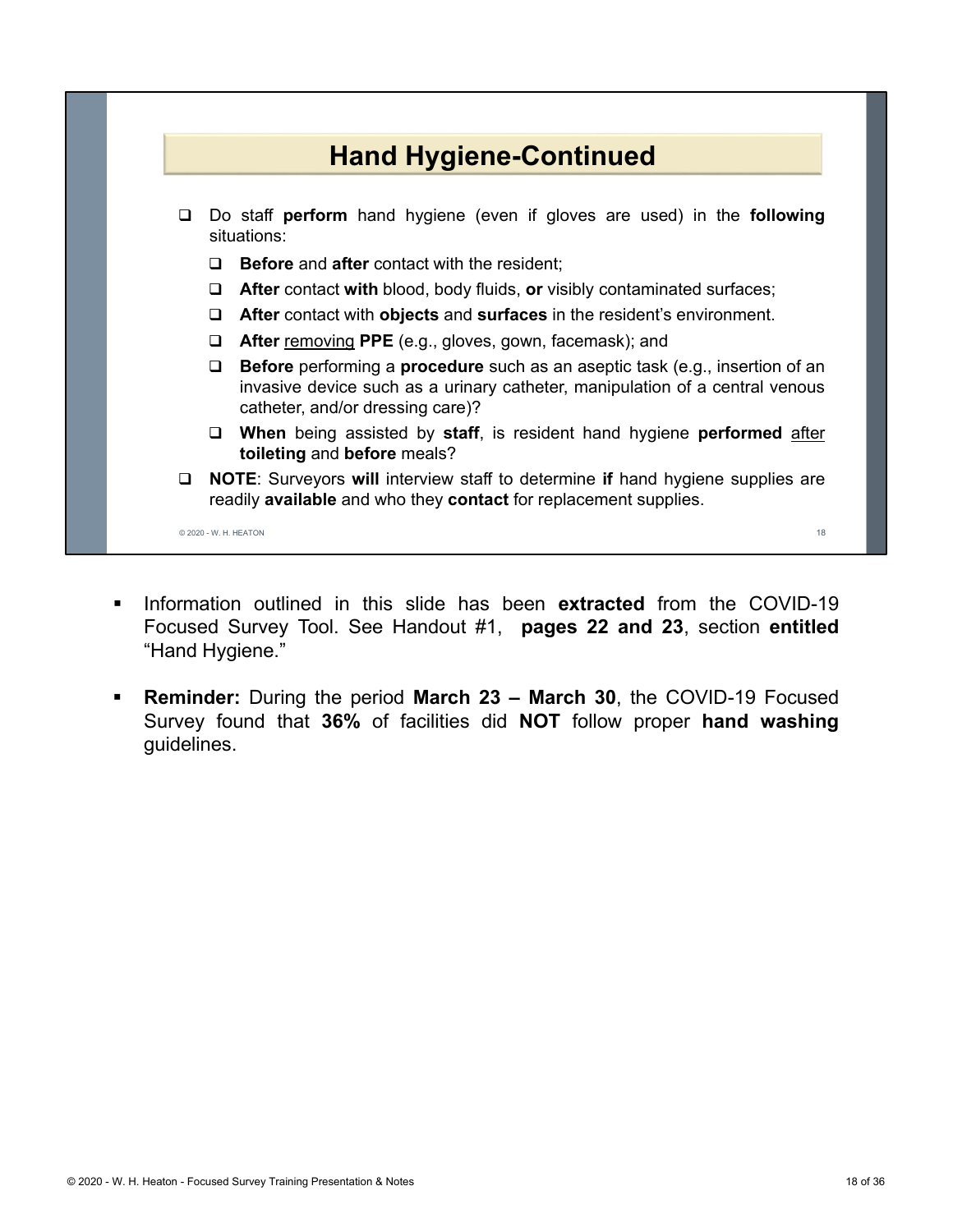

- Information outlined in this slide has been **extracted** from the COVID-19 Focused Survey Tool. See Handout #1, **pages 22 and 23**, section **entitled** "Hand Hygiene."
- **Reminder:** During the period **March 23 March 30**, the COVID-19 Focused Survey found that **36%** of facilities did **NOT** follow proper **hand washing** guidelines.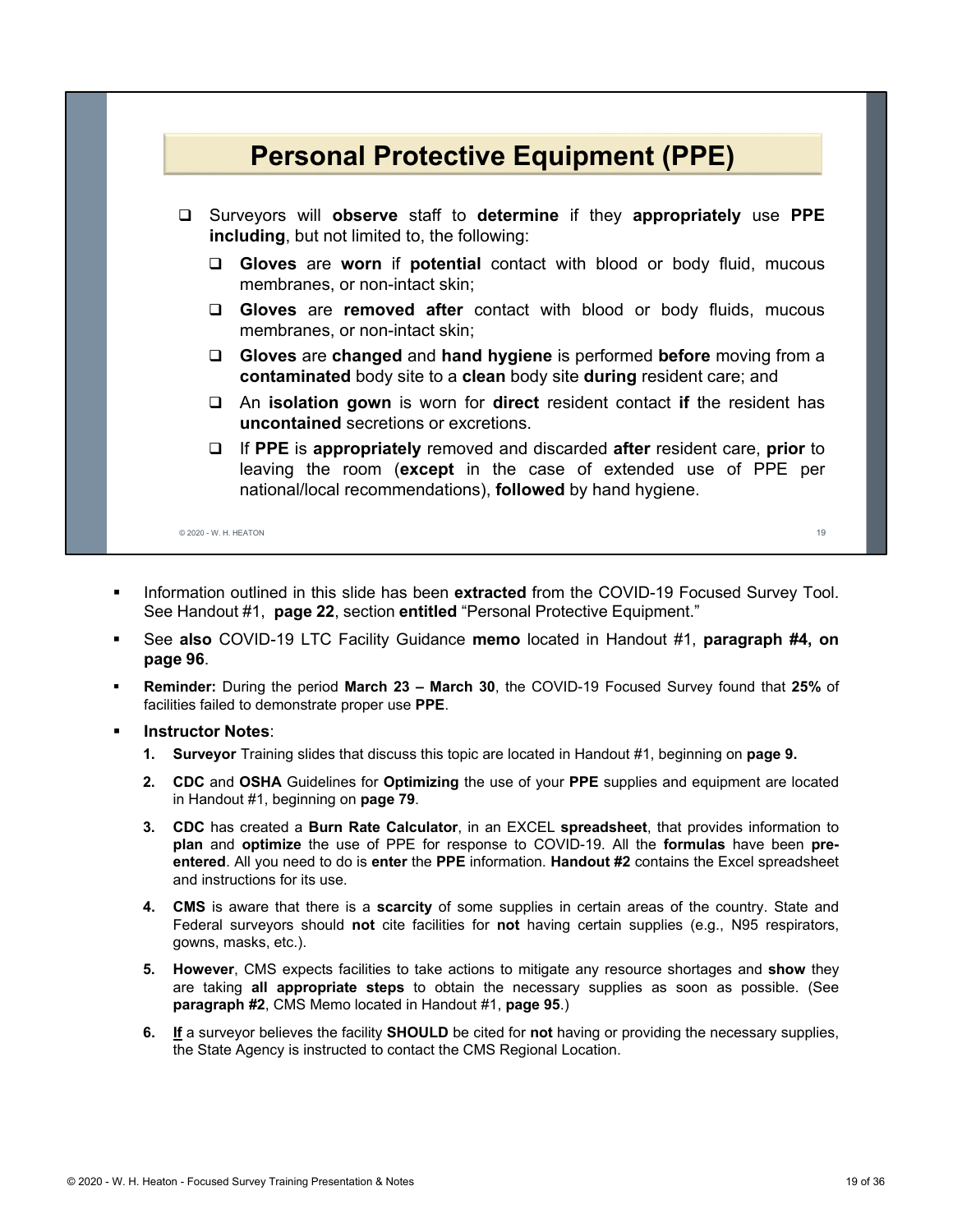

- Information outlined in this slide has been **extracted** from the COVID-19 Focused Survey Tool. See Handout #1, **page 22**, section **entitled** "Personal Protective Equipment."
- See **also** COVID-19 LTC Facility Guidance **memo** located in Handout #1, **paragraph #4, on page 96**.
- **Reminder:** During the period **March 23 March 30**, the COVID-19 Focused Survey found that **25%** of facilities failed to demonstrate proper use **PPE**.
- **Instructor Notes**:
	- **1. Surveyor** Training slides that discuss this topic are located in Handout #1, beginning on **page 9.**
	- **2. CDC** and **OSHA** Guidelines for **Optimizing** the use of your **PPE** supplies and equipment are located in Handout #1, beginning on **page 79**.
	- **3. CDC** has created a **Burn Rate Calculator**, in an EXCEL **spreadsheet**, that provides information to **plan** and **optimize** the use of PPE for response to COVID-19. All the **formulas** have been **preentered**. All you need to do is **enter** the **PPE** information. **Handout #2** contains the Excel spreadsheet and instructions for its use.
	- **4. CMS** is aware that there is a **scarcity** of some supplies in certain areas of the country. State and Federal surveyors should **not** cite facilities for **not** having certain supplies (e.g., N95 respirators, gowns, masks, etc.).
	- **5. However**, CMS expects facilities to take actions to mitigate any resource shortages and **show** they are taking **all appropriate steps** to obtain the necessary supplies as soon as possible. (See **paragraph #2**, CMS Memo located in Handout #1, **page 95**.)
	- **6. If** a surveyor believes the facility **SHOULD** be cited for **not** having or providing the necessary supplies, the State Agency is instructed to contact the CMS Regional Location.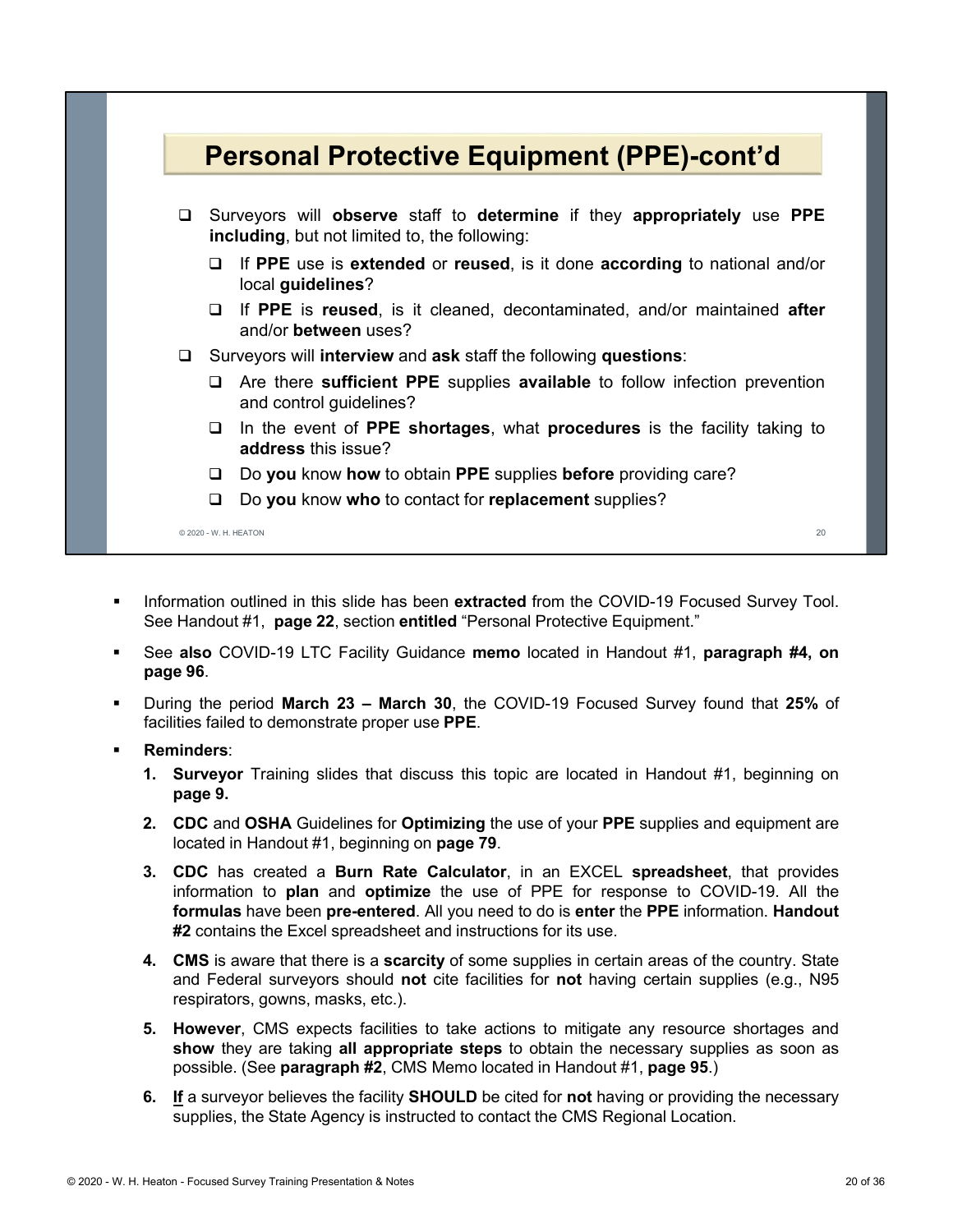

- **Information outlined in this slide has been extracted from the COVID-19 Focused Survey Tool.** See Handout #1, **page 22**, section **entitled** "Personal Protective Equipment."
- See **also** COVID-19 LTC Facility Guidance **memo** located in Handout #1, **paragraph #4, on page 96**.
- During the period **March 23 March 30**, the COVID-19 Focused Survey found that **25%** of facilities failed to demonstrate proper use **PPE**.
- **Reminders**:
	- **1. Surveyor** Training slides that discuss this topic are located in Handout #1, beginning on **page 9.**
	- **2. CDC** and **OSHA** Guidelines for **Optimizing** the use of your **PPE** supplies and equipment are located in Handout #1, beginning on **page 79**.
	- **3. CDC** has created a **Burn Rate Calculator**, in an EXCEL **spreadsheet**, that provides information to **plan** and **optimize** the use of PPE for response to COVID-19. All the **formulas** have been **pre-entered**. All you need to do is **enter** the **PPE** information. **Handout #2** contains the Excel spreadsheet and instructions for its use.
	- **4. CMS** is aware that there is a **scarcity** of some supplies in certain areas of the country. State and Federal surveyors should **not** cite facilities for **not** having certain supplies (e.g., N95 respirators, gowns, masks, etc.).
	- **5. However**, CMS expects facilities to take actions to mitigate any resource shortages and **show** they are taking **all appropriate steps** to obtain the necessary supplies as soon as possible. (See **paragraph #2**, CMS Memo located in Handout #1, **page 95**.)
	- **6. If** a surveyor believes the facility **SHOULD** be cited for **not** having or providing the necessary supplies, the State Agency is instructed to contact the CMS Regional Location.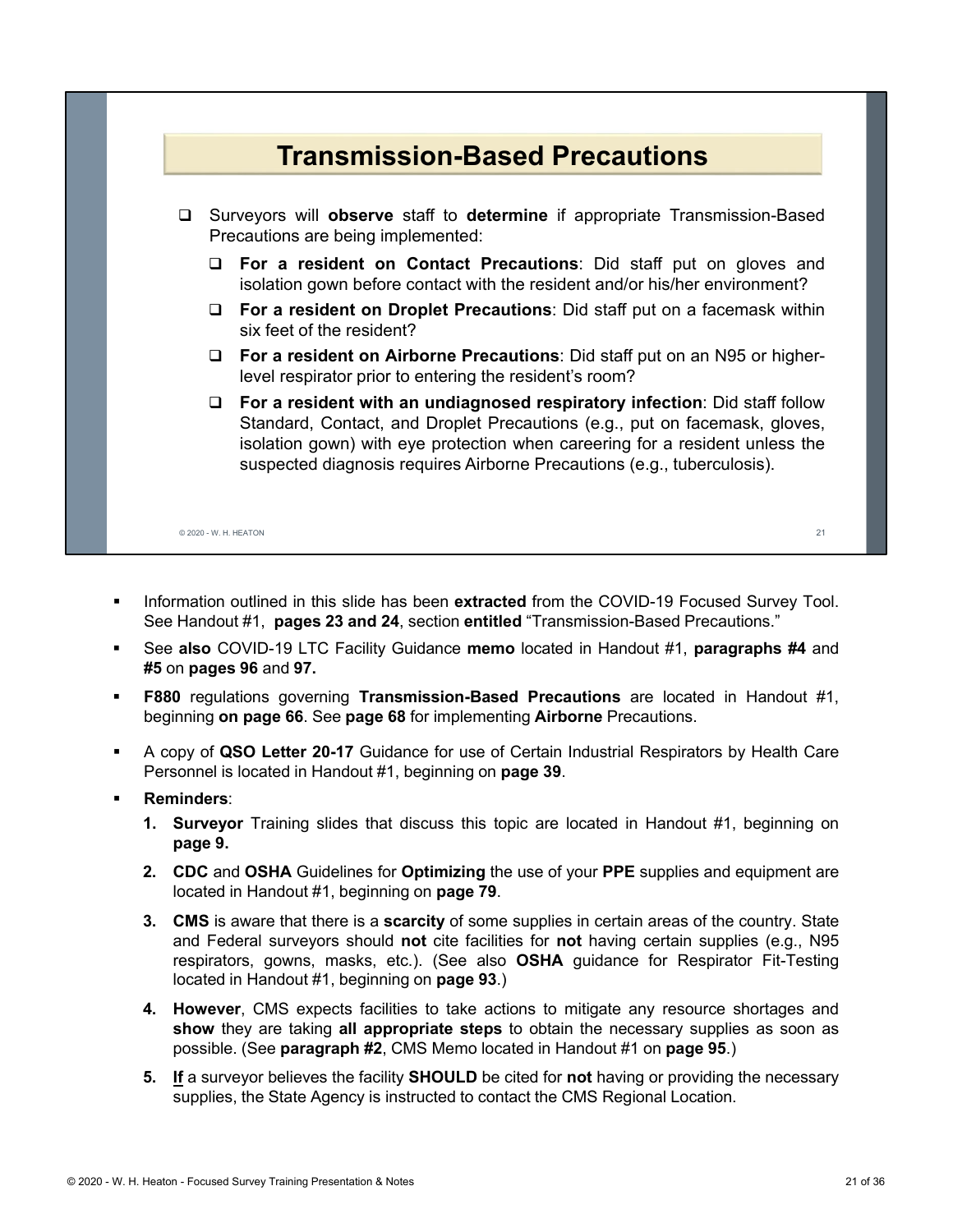

- **Information outlined in this slide has been extracted from the COVID-19 Focused Survey Tool.** See Handout #1, **pages 23 and 24**, section **entitled** "Transmission-Based Precautions."
- See **also** COVID-19 LTC Facility Guidance **memo** located in Handout #1, **paragraphs #4** and **#5** on **pages 96** and **97.**
- **F880** regulations governing **Transmission-Based Precautions** are located in Handout #1, beginning **on page 66**. See **page 68** for implementing **Airborne** Precautions.
- A copy of **QSO Letter 20-17** Guidance for use of Certain Industrial Respirators by Health Care Personnel is located in Handout #1, beginning on **page 39**.
- **Reminders**:
	- **1. Surveyor** Training slides that discuss this topic are located in Handout #1, beginning on **page 9.**
	- **2. CDC** and **OSHA** Guidelines for **Optimizing** the use of your **PPE** supplies and equipment are located in Handout #1, beginning on **page 79**.
	- **3. CMS** is aware that there is a **scarcity** of some supplies in certain areas of the country. State and Federal surveyors should **not** cite facilities for **not** having certain supplies (e.g., N95 respirators, gowns, masks, etc.). (See also **OSHA** guidance for Respirator Fit-Testing located in Handout #1, beginning on **page 93**.)
	- **4. However**, CMS expects facilities to take actions to mitigate any resource shortages and **show** they are taking **all appropriate steps** to obtain the necessary supplies as soon as possible. (See **paragraph #2**, CMS Memo located in Handout #1 on **page 95**.)
	- **5. If** a surveyor believes the facility **SHOULD** be cited for **not** having or providing the necessary supplies, the State Agency is instructed to contact the CMS Regional Location.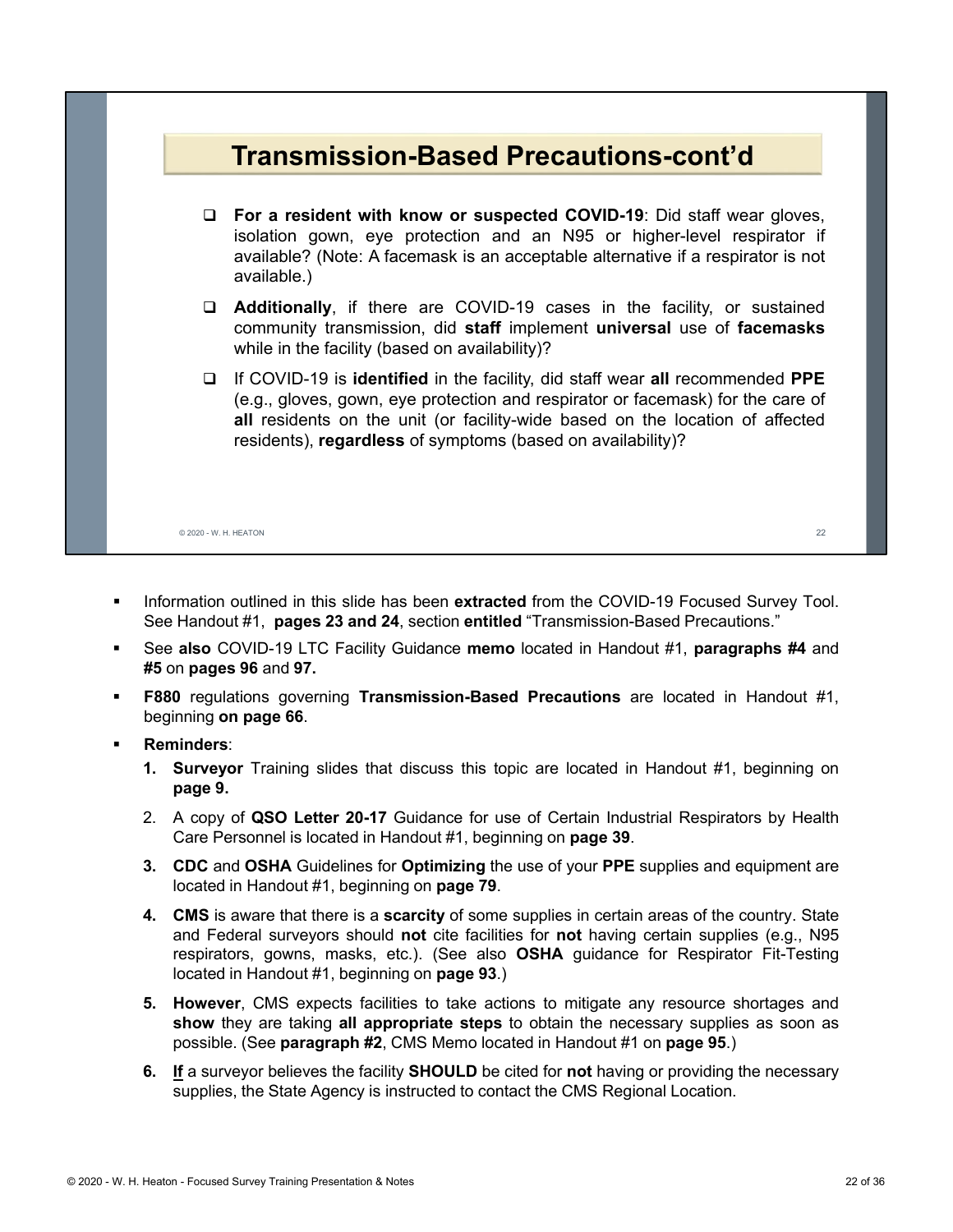

- **Information outlined in this slide has been extracted from the COVID-19 Focused Survey Tool.** See Handout #1, **pages 23 and 24**, section **entitled** "Transmission-Based Precautions."
- See **also** COVID-19 LTC Facility Guidance **memo** located in Handout #1, **paragraphs #4** and **#5** on **pages 96** and **97.**
- **F880** regulations governing **Transmission-Based Precautions** are located in Handout #1, beginning **on page 66**.
- **Reminders**:
	- **1. Surveyor** Training slides that discuss this topic are located in Handout #1, beginning on **page 9.**
	- 2. A copy of **QSO Letter 20-17** Guidance for use of Certain Industrial Respirators by Health Care Personnel is located in Handout #1, beginning on **page 39**.
	- **3. CDC** and **OSHA** Guidelines for **Optimizing** the use of your **PPE** supplies and equipment are located in Handout #1, beginning on **page 79**.
	- **4. CMS** is aware that there is a **scarcity** of some supplies in certain areas of the country. State and Federal surveyors should **not** cite facilities for **not** having certain supplies (e.g., N95 respirators, gowns, masks, etc.). (See also **OSHA** guidance for Respirator Fit-Testing located in Handout #1, beginning on **page 93**.)
	- **5. However**, CMS expects facilities to take actions to mitigate any resource shortages and **show** they are taking **all appropriate steps** to obtain the necessary supplies as soon as possible. (See **paragraph #2**, CMS Memo located in Handout #1 on **page 95**.)
	- **6. If** a surveyor believes the facility **SHOULD** be cited for **not** having or providing the necessary supplies, the State Agency is instructed to contact the CMS Regional Location.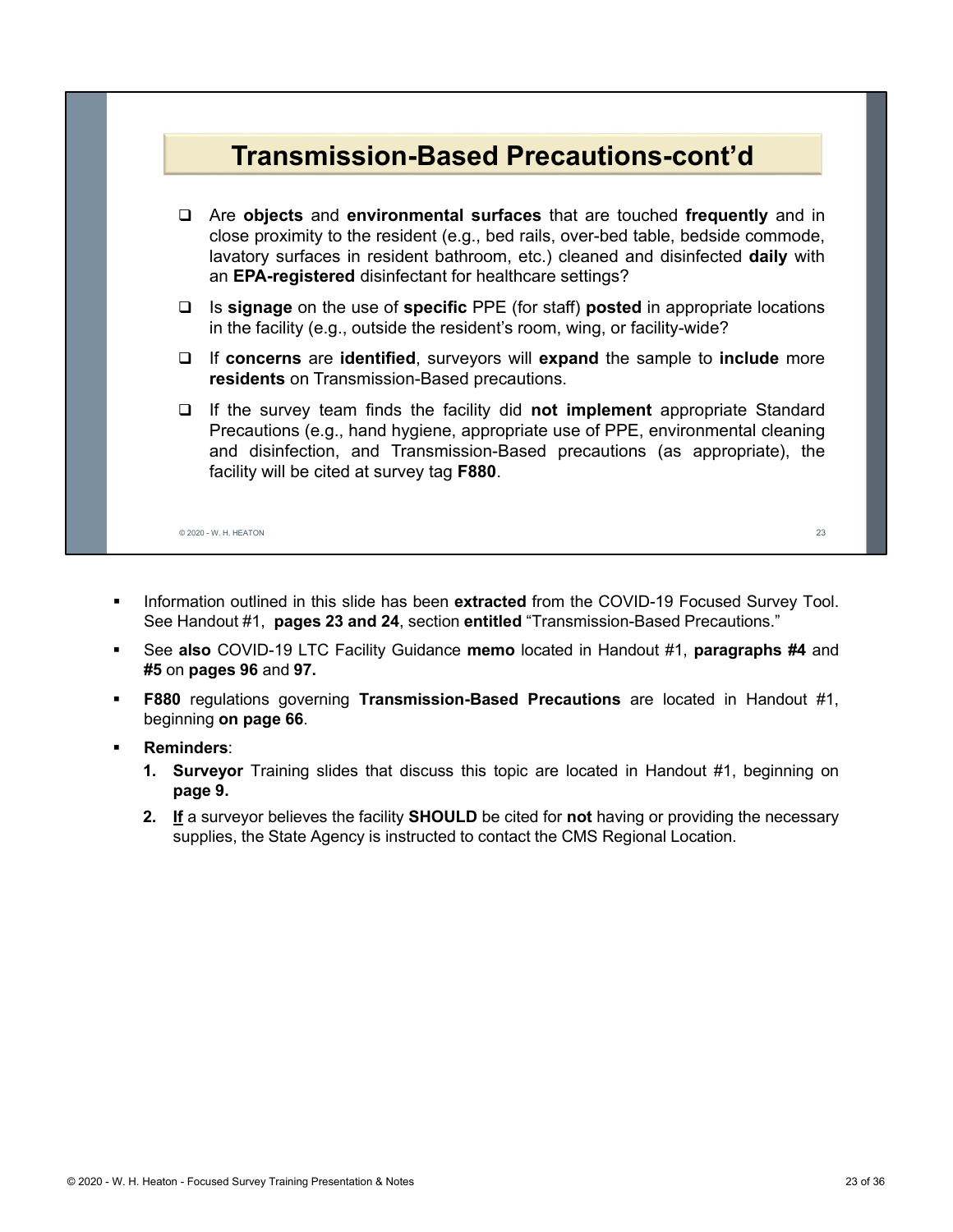

- Information outlined in this slide has been **extracted** from the COVID-19 Focused Survey Tool. See Handout #1, **pages 23 and 24**, section **entitled** "Transmission-Based Precautions."
- See **also** COVID-19 LTC Facility Guidance **memo** located in Handout #1, **paragraphs #4** and **#5** on **pages 96** and **97.**
- **F880** regulations governing **Transmission-Based Precautions** are located in Handout #1, beginning **on page 66**.
- **Reminders**:
	- **1. Surveyor** Training slides that discuss this topic are located in Handout #1, beginning on **page 9.**
	- **2. If** a surveyor believes the facility **SHOULD** be cited for **not** having or providing the necessary supplies, the State Agency is instructed to contact the CMS Regional Location.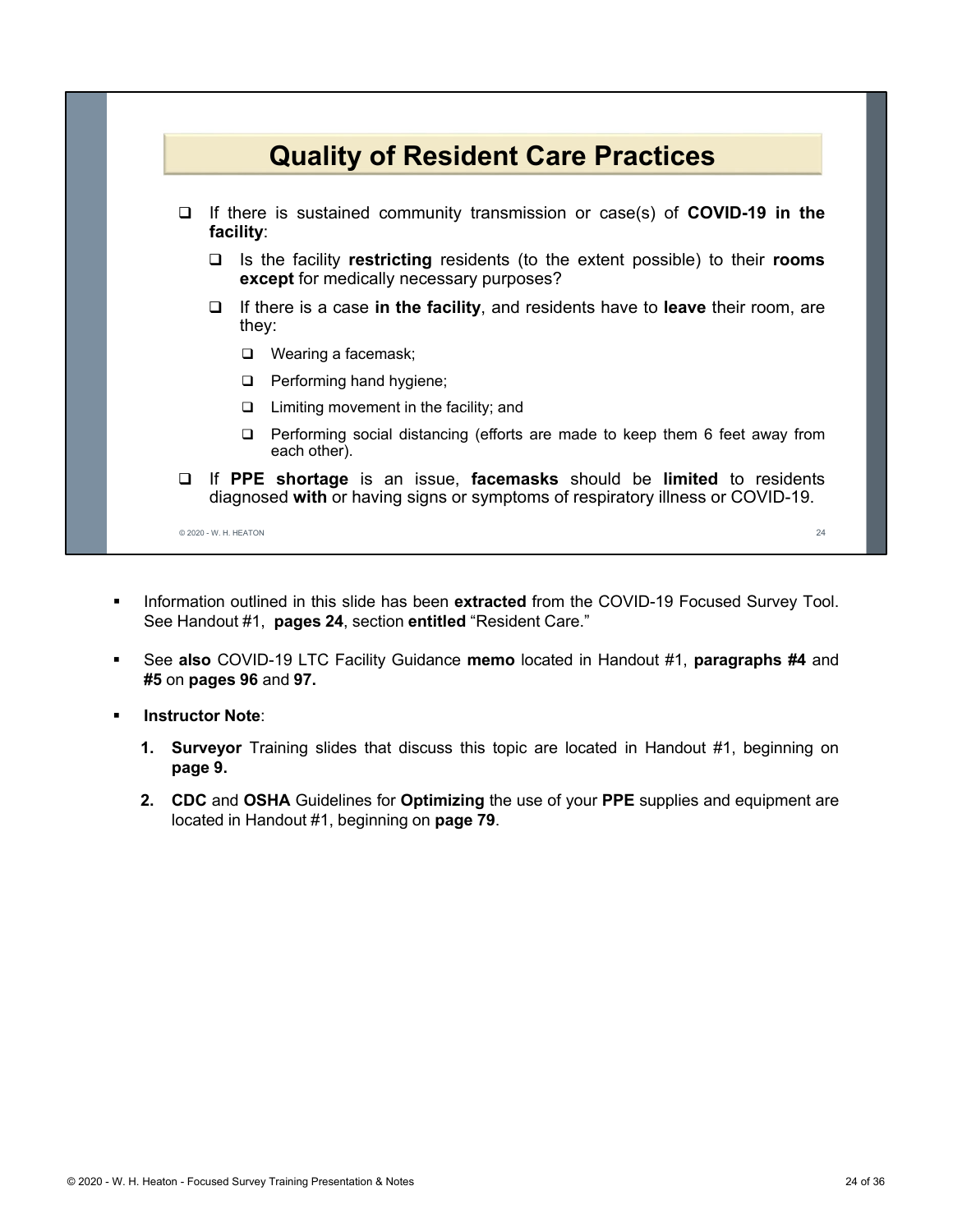

- **Information outlined in this slide has been extracted from the COVID-19 Focused Survey Tool.** See Handout #1, **pages 24**, section **entitled** "Resident Care."
- See **also** COVID-19 LTC Facility Guidance **memo** located in Handout #1, **paragraphs #4** and **#5** on **pages 96** and **97.**
- **Instructor Note**:
	- **1. Surveyor** Training slides that discuss this topic are located in Handout #1, beginning on **page 9.**
	- **2. CDC** and **OSHA** Guidelines for **Optimizing** the use of your **PPE** supplies and equipment are located in Handout #1, beginning on **page 79**.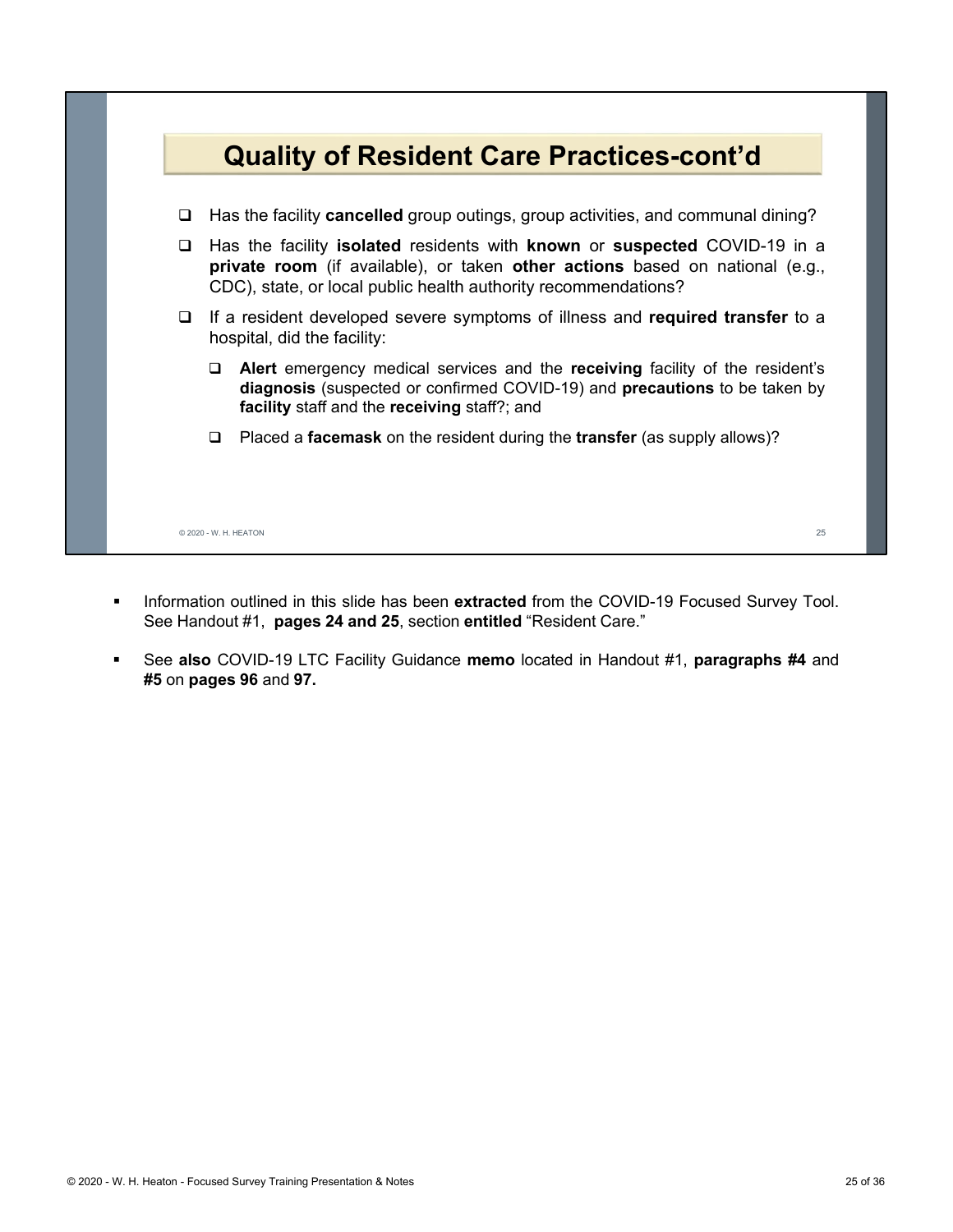

- **Information outlined in this slide has been extracted from the COVID-19 Focused Survey Tool.** See Handout #1, **pages 24 and 25**, section **entitled** "Resident Care."
- See **also** COVID-19 LTC Facility Guidance **memo** located in Handout #1, **paragraphs #4** and **#5** on **pages 96** and **97.**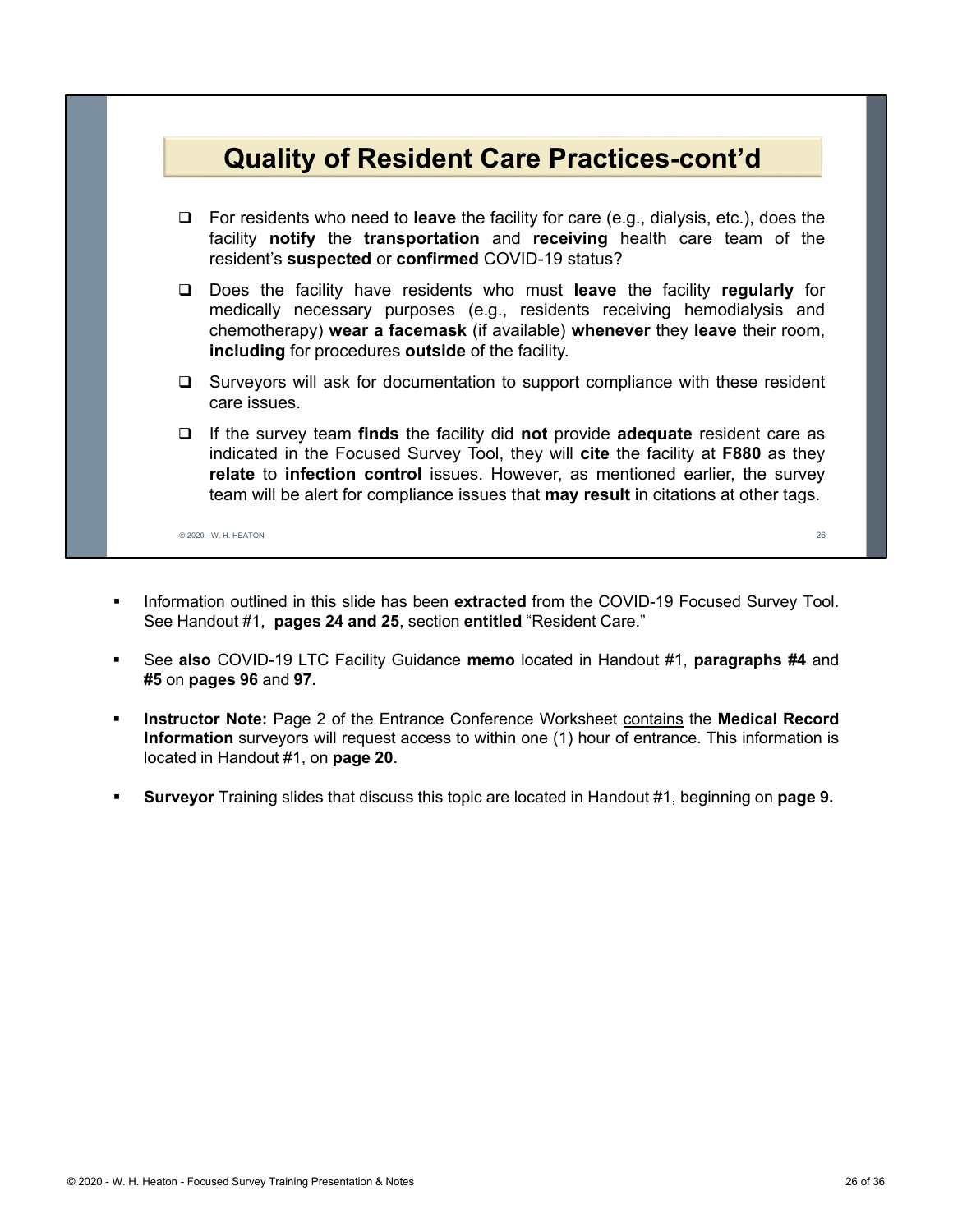

- **Information outlined in this slide has been extracted from the COVID-19 Focused Survey Tool.** See Handout #1, **pages 24 and 25**, section **entitled** "Resident Care."
- See **also** COVID-19 LTC Facility Guidance **memo** located in Handout #1, **paragraphs #4** and **#5** on **pages 96** and **97.**
- **Instructor Note:** Page 2 of the Entrance Conference Worksheet contains the Medical Record **Information** surveyors will request access to within one (1) hour of entrance. This information is located in Handout #1, on **page 20**.
- **Surveyor** Training slides that discuss this topic are located in Handout #1, beginning on **page 9.**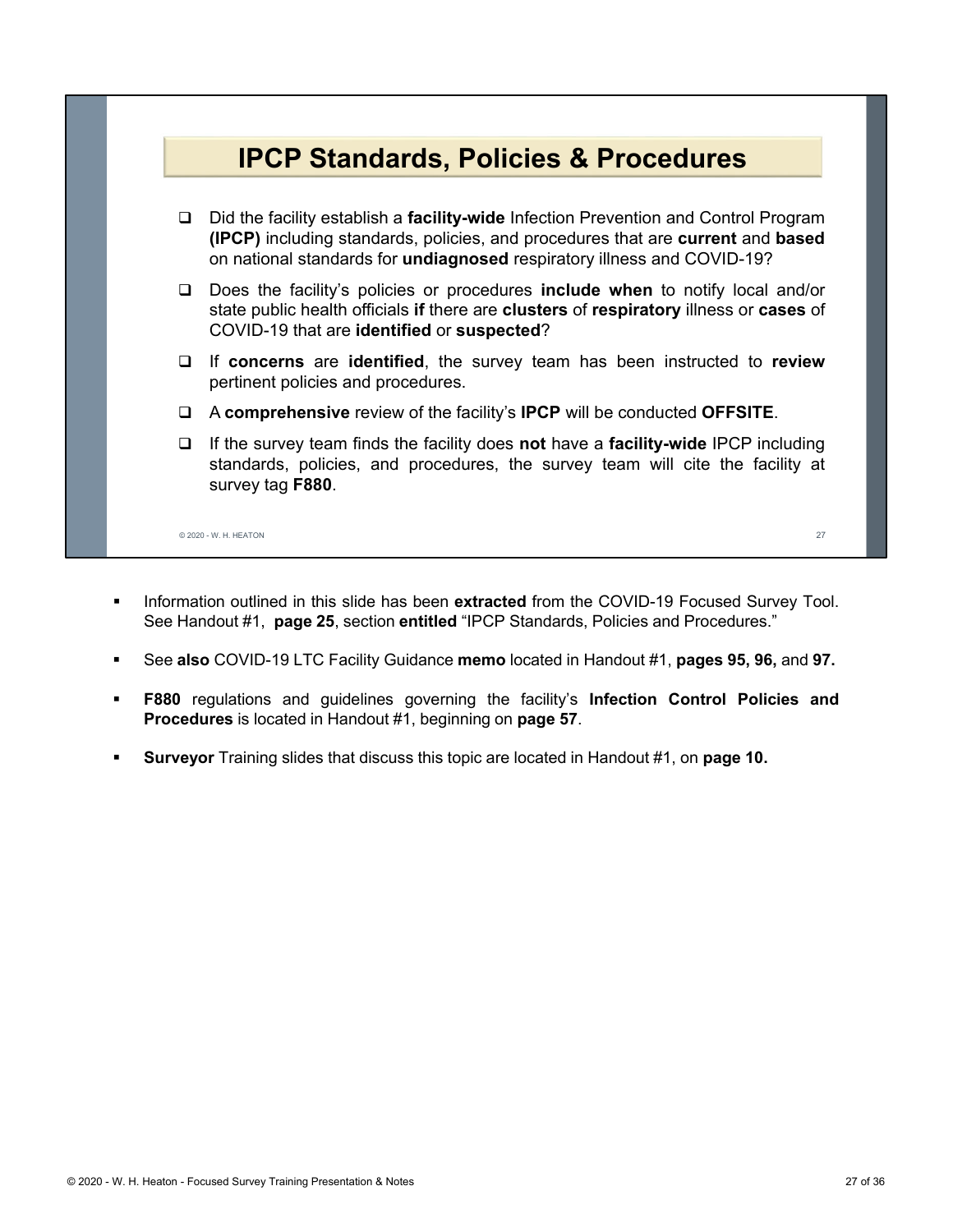

- **Information outlined in this slide has been extracted from the COVID-19 Focused Survey Tool.** See Handout #1, **page 25**, section **entitled** "IPCP Standards, Policies and Procedures."
- See **also** COVID-19 LTC Facility Guidance **memo** located in Handout #1, **pages 95, 96,** and **97.**
- **F880** regulations and guidelines governing the facility's **Infection Control Policies and Procedures** is located in Handout #1, beginning on **page 57**.
- **Surveyor** Training slides that discuss this topic are located in Handout #1, on **page 10.**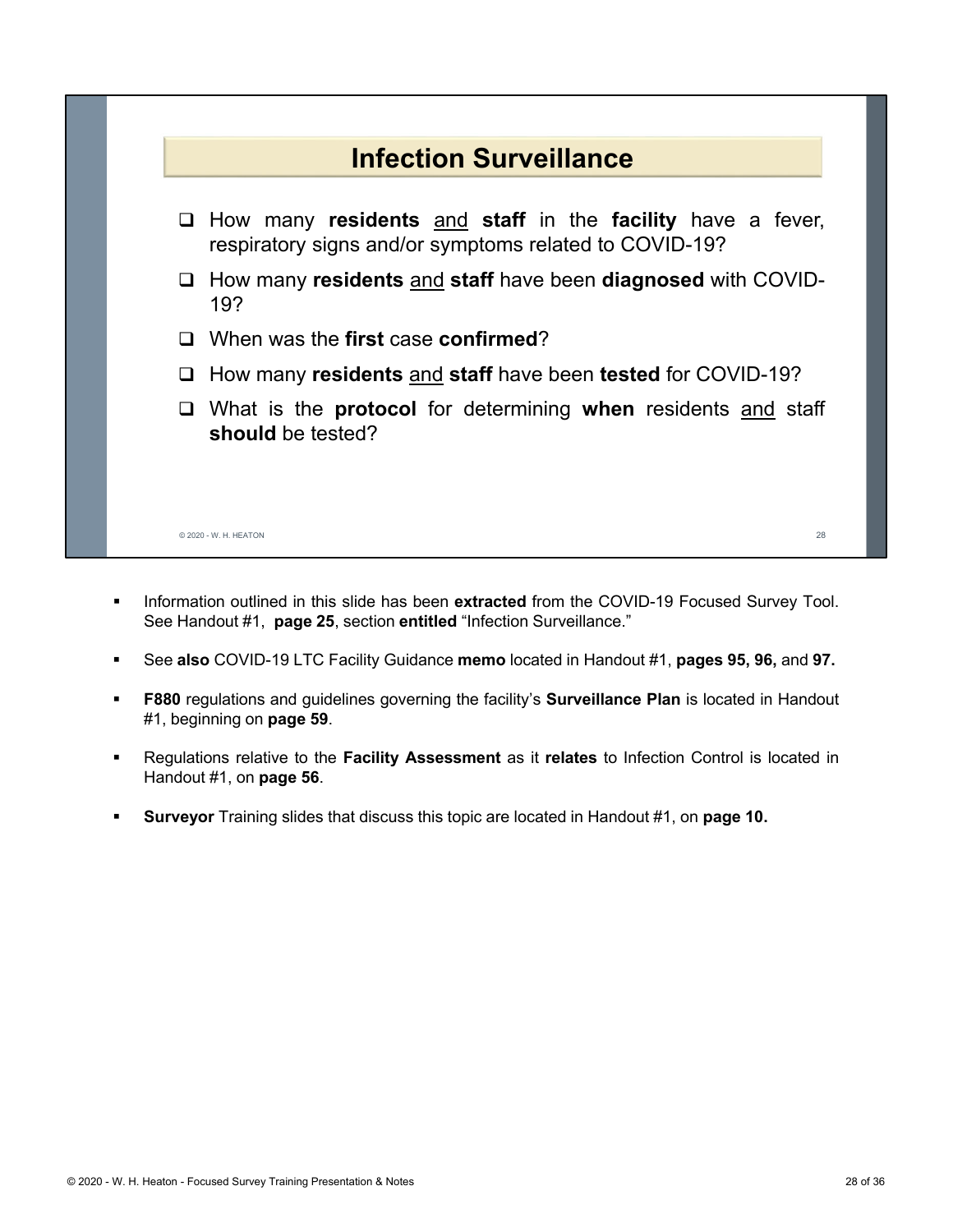

- **Information outlined in this slide has been extracted from the COVID-19 Focused Survey Tool.** See Handout #1, **page 25**, section **entitled** "Infection Surveillance."
- See **also** COVID-19 LTC Facility Guidance **memo** located in Handout #1, **pages 95, 96,** and **97.**
- **F880** regulations and guidelines governing the facility's **Surveillance Plan** is located in Handout #1, beginning on **page 59**.
- Regulations relative to the **Facility Assessment** as it **relates** to Infection Control is located in Handout #1, on **page 56**.
- **Surveyor** Training slides that discuss this topic are located in Handout #1, on **page 10.**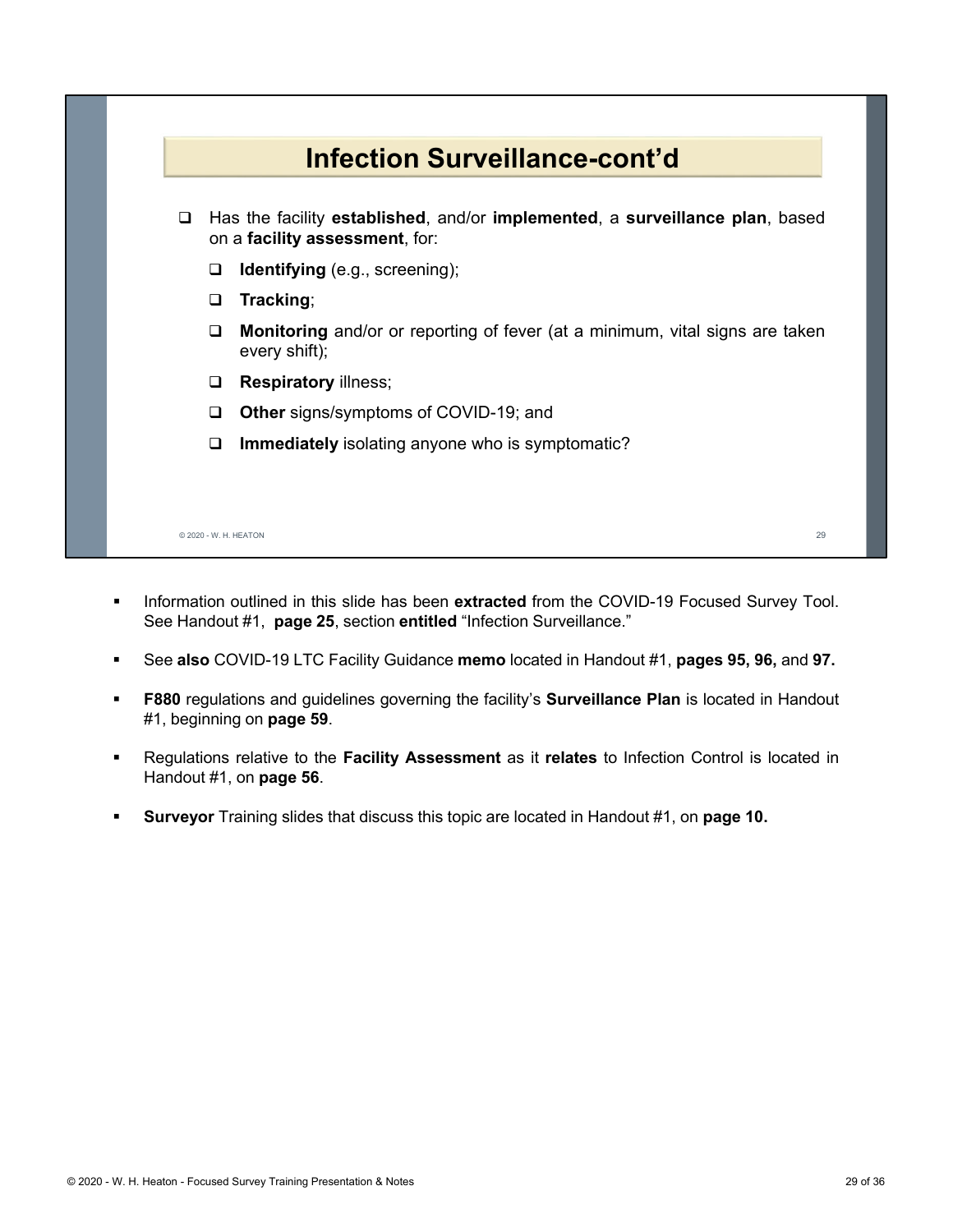

- **Information outlined in this slide has been extracted from the COVID-19 Focused Survey Tool.** See Handout #1, **page 25**, section **entitled** "Infection Surveillance."
- See **also** COVID-19 LTC Facility Guidance **memo** located in Handout #1, **pages 95, 96,** and **97.**
- **F880** regulations and guidelines governing the facility's **Surveillance Plan** is located in Handout #1, beginning on **page 59**.
- Regulations relative to the **Facility Assessment** as it **relates** to Infection Control is located in Handout #1, on **page 56**.
- **Surveyor** Training slides that discuss this topic are located in Handout #1, on **page 10.**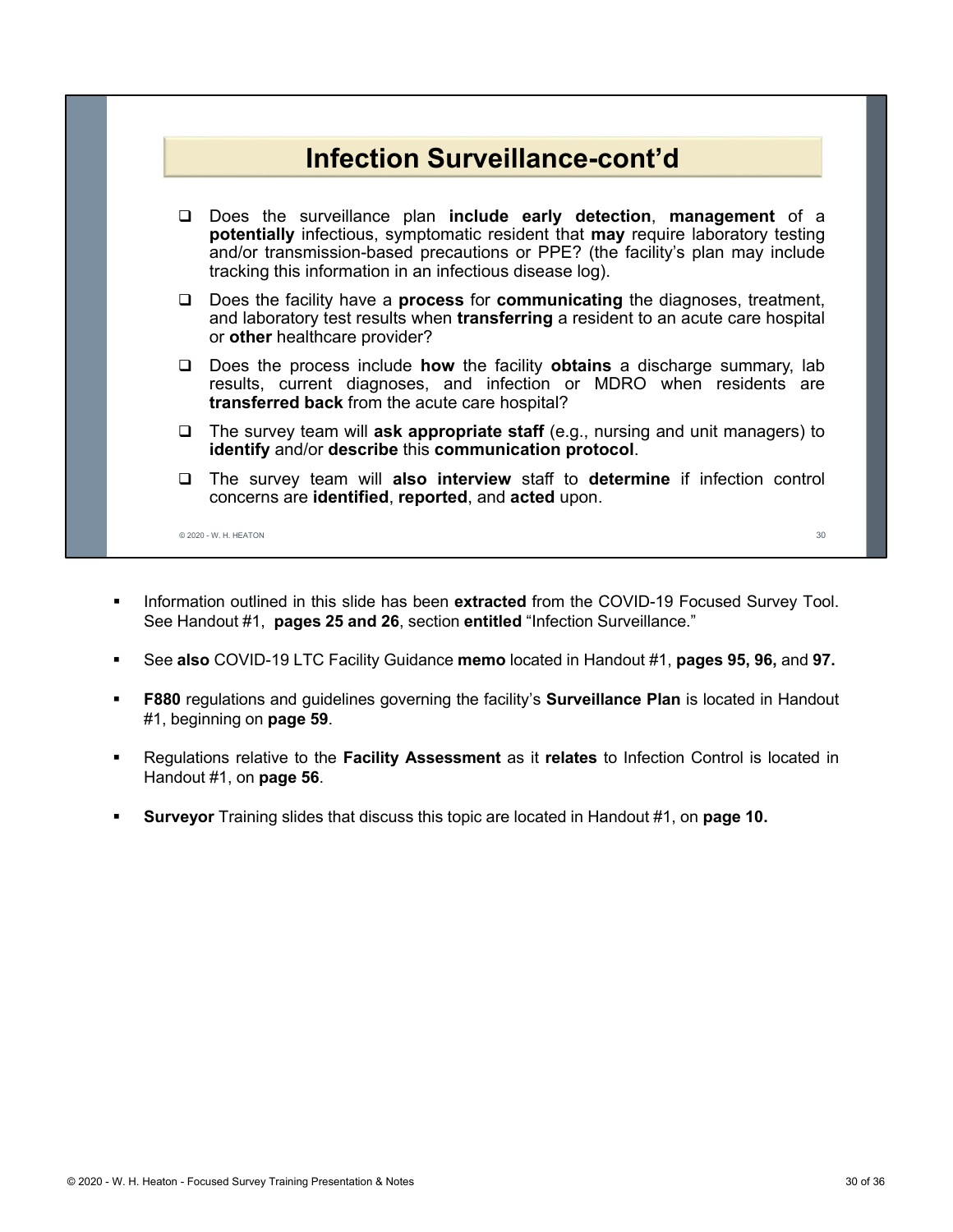

- **Information outlined in this slide has been extracted from the COVID-19 Focused Survey Tool.** See Handout #1, **pages 25 and 26**, section **entitled** "Infection Surveillance."
- See **also** COVID-19 LTC Facility Guidance **memo** located in Handout #1, **pages 95, 96,** and **97.**
- **F880** regulations and guidelines governing the facility's **Surveillance Plan** is located in Handout #1, beginning on **page 59**.
- Regulations relative to the **Facility Assessment** as it **relates** to Infection Control is located in Handout #1, on **page 56**.
- **Surveyor** Training slides that discuss this topic are located in Handout #1, on **page 10.**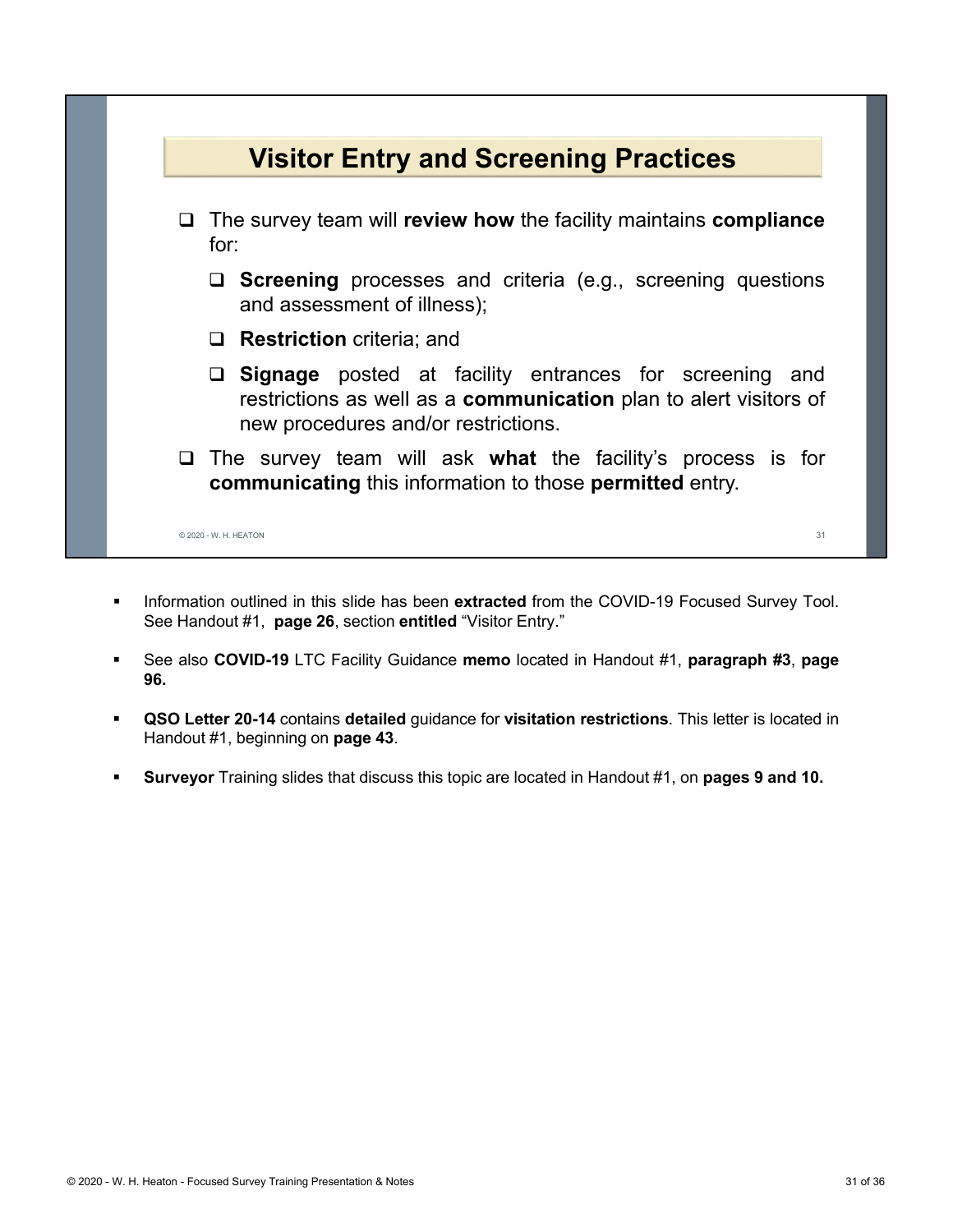

- **Information outlined in this slide has been extracted from the COVID-19 Focused Survey Tool.** See Handout #1, **page 26**, section **entitled** "Visitor Entry."
- See also **COVID-19** LTC Facility Guidance **memo** located in Handout #1, **paragraph #3**, **page 96.**
- **QSO Letter 20-14** contains **detailed** guidance for **visitation restrictions**. This letter is located in Handout #1, beginning on **page 43**.
- **Surveyor** Training slides that discuss this topic are located in Handout #1, on **pages 9 and 10.**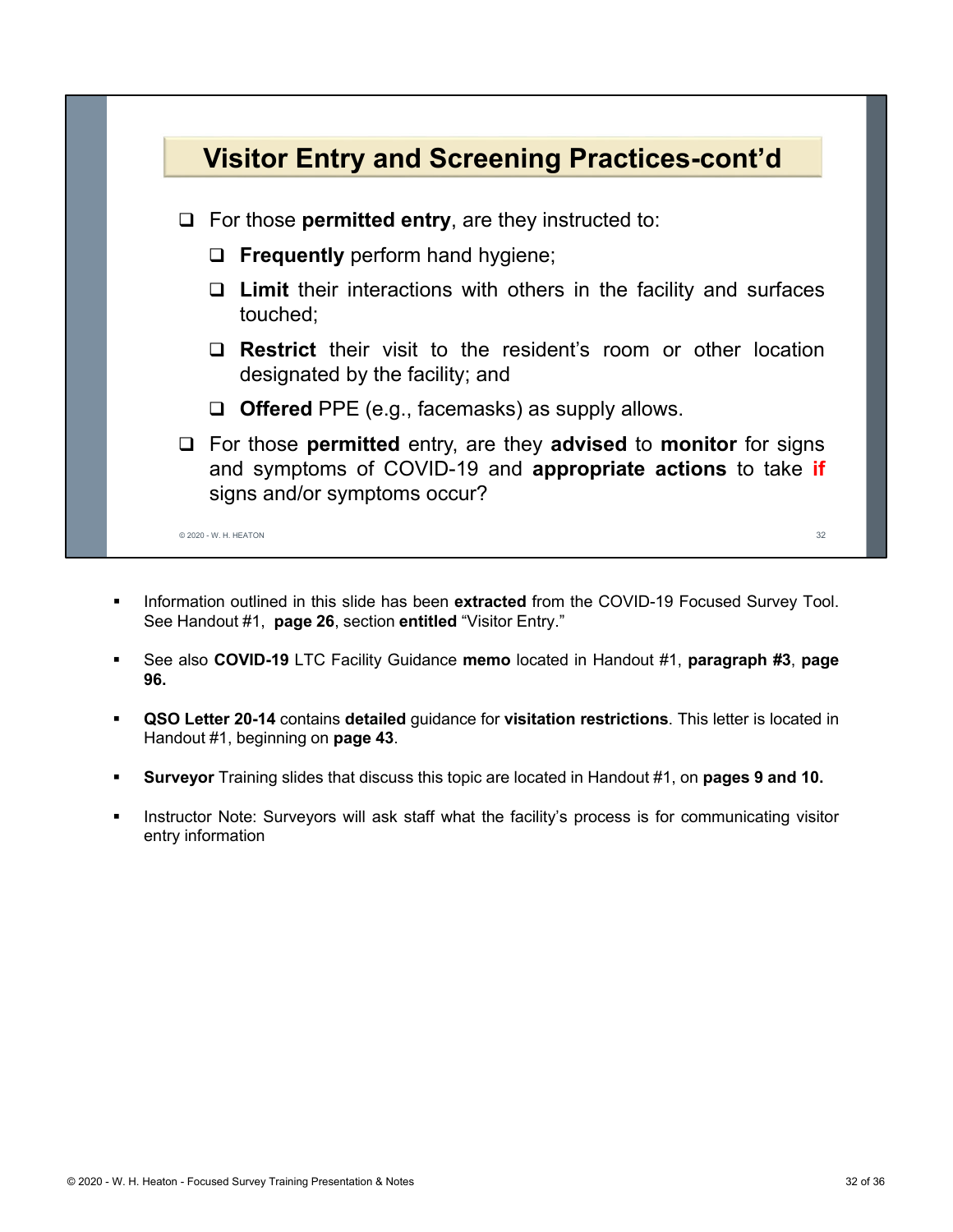

- **Information outlined in this slide has been extracted from the COVID-19 Focused Survey Tool.** See Handout #1, **page 26**, section **entitled** "Visitor Entry."
- See also **COVID-19** LTC Facility Guidance **memo** located in Handout #1, **paragraph #3**, **page 96.**
- **QSO Letter 20-14** contains **detailed** guidance for **visitation restrictions**. This letter is located in Handout #1, beginning on **page 43**.
- **Surveyor** Training slides that discuss this topic are located in Handout #1, on **pages 9 and 10.**
- Instructor Note: Surveyors will ask staff what the facility's process is for communicating visitor entry information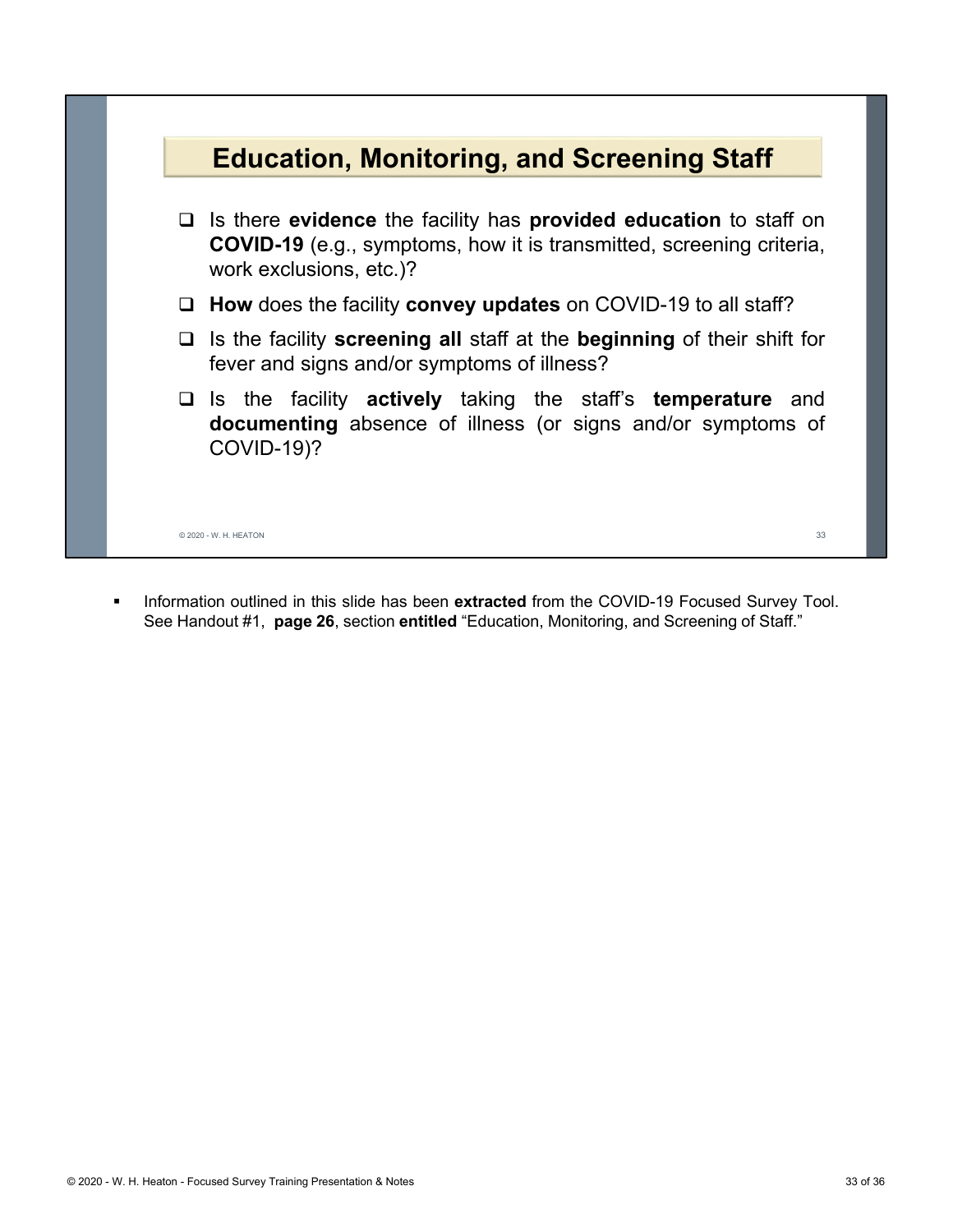

**Information outlined in this slide has been extracted from the COVID-19 Focused Survey Tool.** See Handout #1, **page 26**, section **entitled** "Education, Monitoring, and Screening of Staff."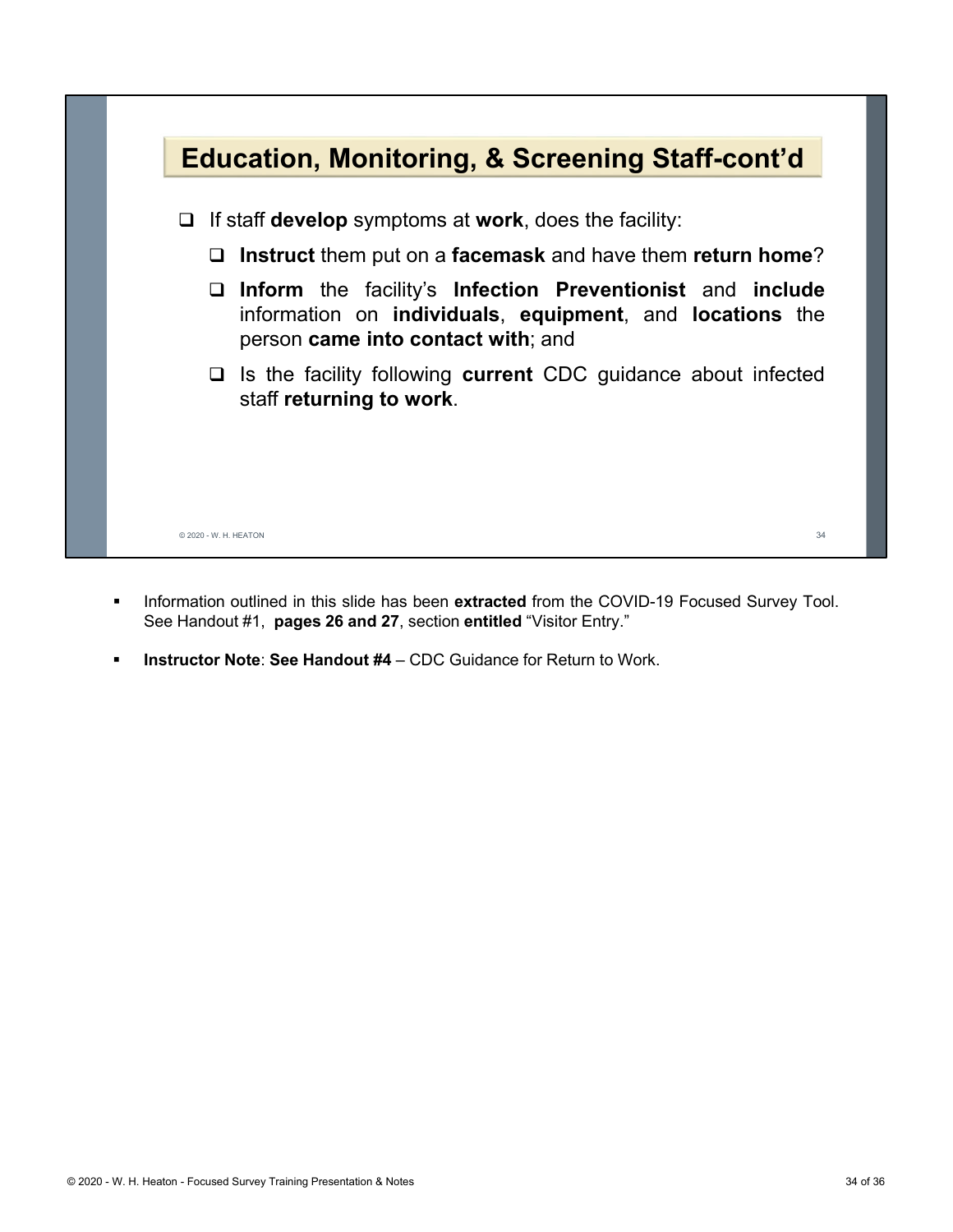

- **Information outlined in this slide has been extracted from the COVID-19 Focused Survey Tool.** See Handout #1, **pages 26 and 27**, section **entitled** "Visitor Entry."
- **Instructor Note**: **See Handout #4** CDC Guidance for Return to Work.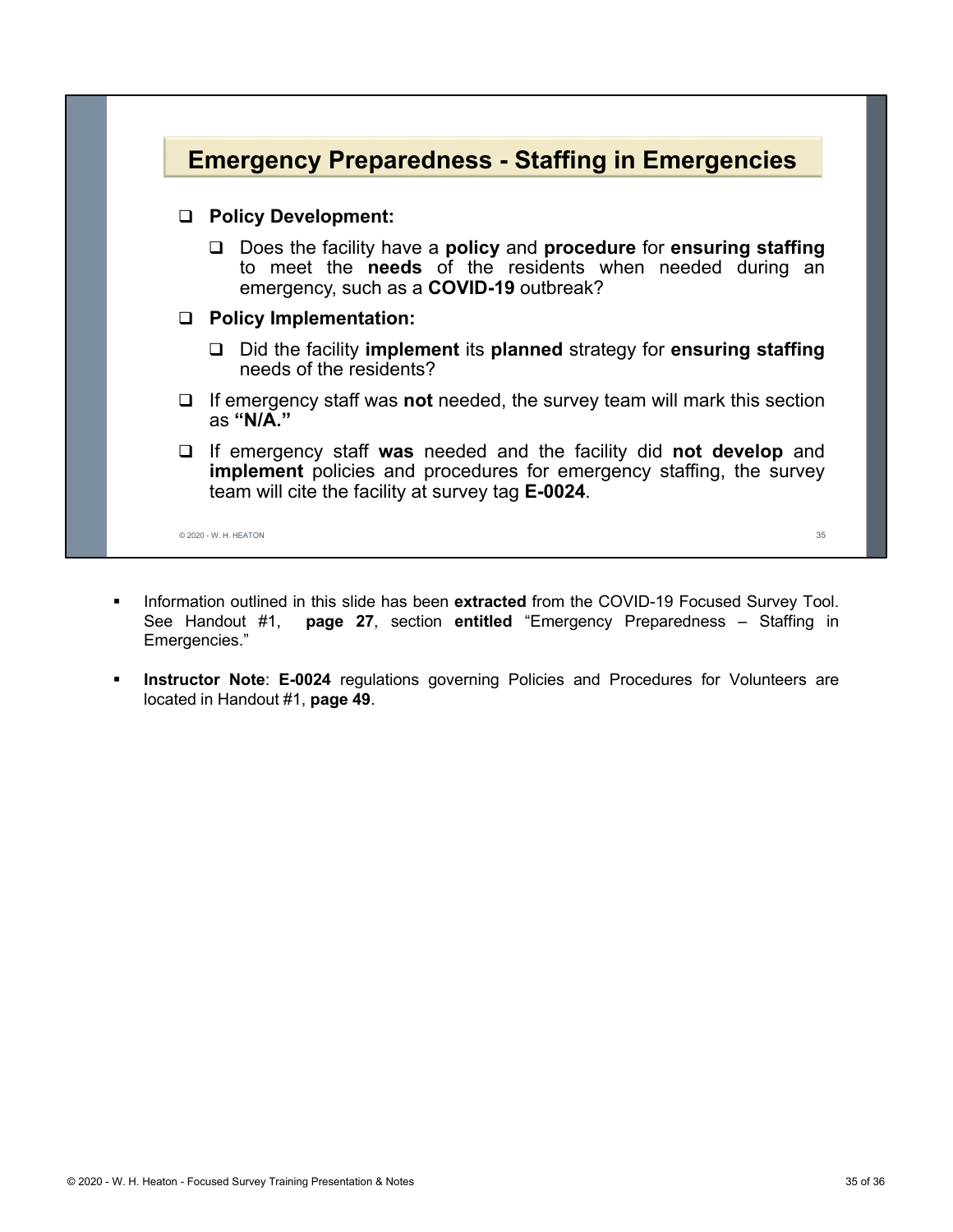

- **Information outlined in this slide has been extracted from the COVID-19 Focused Survey Tool.** See Handout #1, **page 27**, section **entitled** "Emergency Preparedness – Staffing in Emergencies."
- **Instructor Note**: **E-0024** regulations governing Policies and Procedures for Volunteers are located in Handout #1, **page 49**.